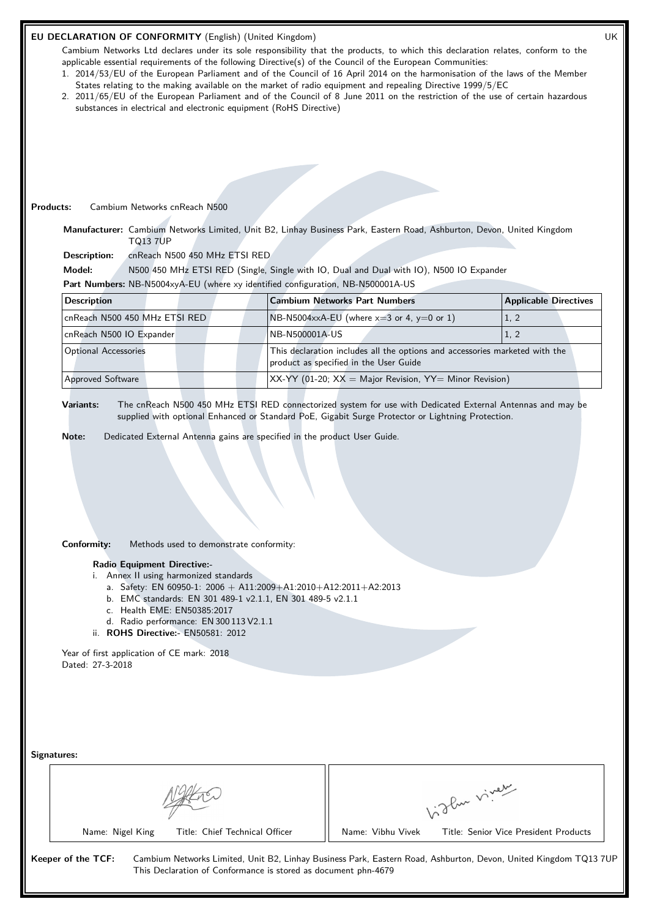# **EU DECLARATION OF CONFORMITY** (English) (United Kingdom) UK

Cambium Networks Ltd declares under its sole responsibility that the products, to which this declaration relates, conform to the applicable essential requirements of the following Directive(s) of the Council of the European Communities:

- 1. 2014/53/EU of the European Parliament and of the Council of 16 April 2014 on the harmonisation of the laws of the Member States relating to the making available on the market of radio equipment and repealing Directive 1999/5/EC
- 2. 2011/65/EU of the European Parliament and of the Council of 8 June 2011 on the restriction of the use of certain hazardous substances in electrical and electronic equipment (RoHS Directive)

## **Products:** Cambium Networks cnReach N500

**Manufacturer:** Cambium Networks Limited, Unit B2, Linhay Business Park, Eastern Road, Ashburton, Devon, United Kingdom TQ13 7UP

**Description:** cnReach N500 450 MHz ETSI RED

**Model:** N500 450 MHz ETSI RED (Single, Single with IO, Dual and Dual with IO), N500 IO Expander

**Part Numbers:** NB-N5004xyA-EU (where xy identified configuration, NB-N500001A-US

| <b>Description</b>            | <b>Cambium Networks Part Numbers</b>                                                                                  | <b>Applicable Directives</b> |
|-------------------------------|-----------------------------------------------------------------------------------------------------------------------|------------------------------|
| cnReach N500 450 MHz ETSI RED | $N_{\text{B-N5004xx}}$ A-EU (where x=3 or 4, y=0 or 1)                                                                | (1, 2)                       |
| cnReach N500 IO Expander      | NB-N500001A-US                                                                                                        | (1, 2)                       |
| <b>Optional Accessories</b>   | This declaration includes all the options and accessories marketed with the<br>product as specified in the User Guide |                              |
| <b>Approved Software</b>      | $\vert$ XX-YY (01-20; XX = Major Revision, YY= Minor Revision)                                                        |                              |

**Variants:** The cnReach N500 450 MHz ETSI RED connectorized system for use with Dedicated External Antennas and may be supplied with optional Enhanced or Standard PoE, Gigabit Surge Protector or Lightning Protection.

**Note:** Dedicated External Antenna gains are specified in the product User Guide.

# **Conformity:** Methods used to demonstrate conformity:

## **Radio Equipment Directive:-**

- i. Annex II using harmonized standards
	- a. Safety: EN 60950-1: 2006 + A11:2009+A1:2010+A12:2011+A2:2013

This Declaration of Conformance is stored as document phn-4679

- b. EMC standards: EN 301 489-1 v2.1.1, EN 301 489-5 v2.1.1
- c. Health EME: EN50385:2017
- d. Radio performance: EN 300 113 V2.1.1
- ii. **ROHS Directive:-** EN50581: 2012

Year of first application of CE mark: 2018 Dated: 27-3-2018

| Signatures: |
|-------------|
|-------------|

|                                | about viver                           |
|--------------------------------|---------------------------------------|
| Title: Chief Technical Officer | Name: Vibhu Vivek                     |
| Name: Nigel King               | Title: Senior Vice President Products |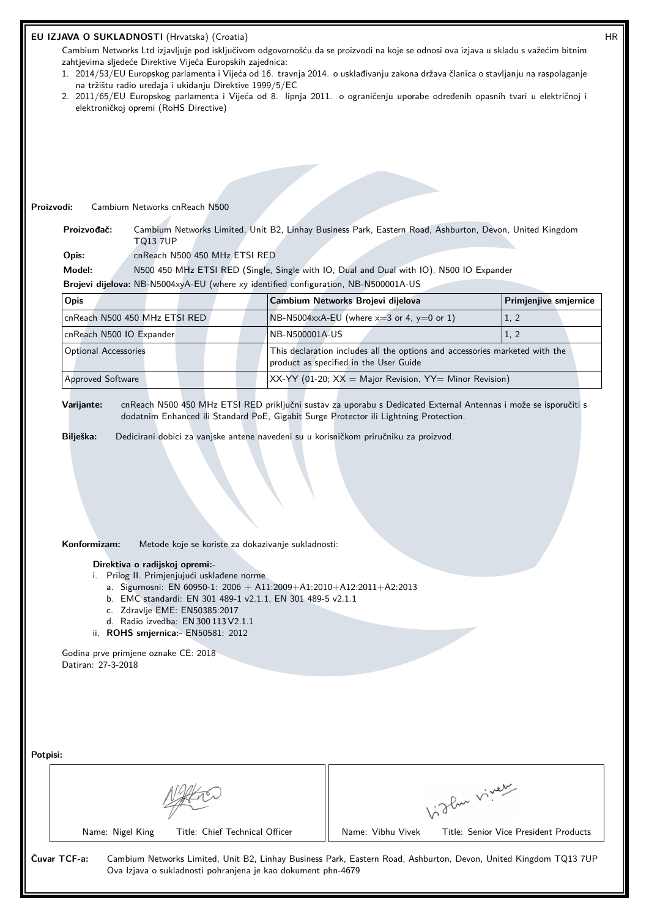| EU IZJAVA O SUKLADNOSTI (Hrvatska) (Croatia)               |                                                                                                                                                                                                                                                                                                                  |                                                                                                                                                                                                          |              |                       |  |
|------------------------------------------------------------|------------------------------------------------------------------------------------------------------------------------------------------------------------------------------------------------------------------------------------------------------------------------------------------------------------------|----------------------------------------------------------------------------------------------------------------------------------------------------------------------------------------------------------|--------------|-----------------------|--|
| zahtjevima sljedeće Direktive Vijeća Europskih zajednica:  |                                                                                                                                                                                                                                                                                                                  | Cambium Networks Ltd izjavljuje pod isključivom odgovornošću da se proizvodi na koje se odnosi ova izjava u skladu s važećim bitnim                                                                      |              |                       |  |
| na tržištu radio uređaja i ukidanju Direktive 1999/5/EC    |                                                                                                                                                                                                                                                                                                                  | 1. 2014/53/EU Europskog parlamenta i Vijeća od 16. travnja 2014. o usklađivanju zakona država članica o stavljanju na raspolaganje                                                                       |              |                       |  |
| elektroničkoj opremi (RoHS Directive)                      |                                                                                                                                                                                                                                                                                                                  | 2. 2011/65/EU Europskog parlamenta i Vijeća od 8. lipnja 2011. o ograničenju uporabe određenih opasnih tvari u električnoj i                                                                             |              |                       |  |
|                                                            |                                                                                                                                                                                                                                                                                                                  |                                                                                                                                                                                                          |              |                       |  |
|                                                            |                                                                                                                                                                                                                                                                                                                  |                                                                                                                                                                                                          |              |                       |  |
|                                                            |                                                                                                                                                                                                                                                                                                                  |                                                                                                                                                                                                          |              |                       |  |
|                                                            |                                                                                                                                                                                                                                                                                                                  |                                                                                                                                                                                                          |              |                       |  |
| Proizvodi:                                                 | Cambium Networks cnReach N500                                                                                                                                                                                                                                                                                    |                                                                                                                                                                                                          |              |                       |  |
| Proizvođač:                                                |                                                                                                                                                                                                                                                                                                                  | Cambium Networks Limited, Unit B2, Linhay Business Park, Eastern Road, Ashburton, Devon, United Kingdom                                                                                                  |              |                       |  |
| Opis:                                                      | <b>TQ13 7UP</b><br>cnReach N500 450 MHz ETSI RED                                                                                                                                                                                                                                                                 |                                                                                                                                                                                                          |              |                       |  |
| Model:                                                     |                                                                                                                                                                                                                                                                                                                  | N500 450 MHz ETSI RED (Single, Single with IO, Dual and Dual with IO), N500 IO Expander                                                                                                                  |              |                       |  |
|                                                            |                                                                                                                                                                                                                                                                                                                  | Brojevi dijelova: NB-N5004xyA-EU (where xy identified configuration, NB-N500001A-US                                                                                                                      |              |                       |  |
| Opis                                                       |                                                                                                                                                                                                                                                                                                                  | Cambium Networks Brojevi dijelova                                                                                                                                                                        |              | Primjenjive smjernice |  |
| cnReach N500 450 MHz ETSI RED                              |                                                                                                                                                                                                                                                                                                                  | NB-N5004xxA-EU (where $x=3$ or 4, $y=0$ or 1)                                                                                                                                                            |              | 1, 2                  |  |
| cnReach N500 IO Expander                                   |                                                                                                                                                                                                                                                                                                                  | NB-N500001A-US                                                                                                                                                                                           |              | 1, 2                  |  |
| <b>Optional Accessories</b>                                |                                                                                                                                                                                                                                                                                                                  | This declaration includes all the options and accessories marketed with the<br>product as specified in the User Guide                                                                                    |              |                       |  |
| Approved Software                                          |                                                                                                                                                                                                                                                                                                                  | XX-YY (01-20; $XX =$ Major Revision, YY= Minor Revision)                                                                                                                                                 |              |                       |  |
| Varijante:                                                 |                                                                                                                                                                                                                                                                                                                  | cnReach N500 450 MHz ETSI RED priključni sustav za uporabu s Dedicated External Antennas i može se isporučiti s<br>dodatnim Enhanced ili Standard PoE, Gigabit Surge Protector ili Lightning Protection. |              |                       |  |
| Bilješka:<br>Konformizam:                                  | Metode koje se koriste za dokazivanje sukladnosti:<br>Direktiva o radijskoj opremi:-<br>i. Prilog II. Primjenjujući usklađene norme<br>b. EMC standardi: EN 301 489-1 v2.1.1, EN 301 489-5 v2.1.1<br>c. Zdravlje EME: EN50385:2017<br>d. Radio izvedba: EN 300 113 V2.1.1<br>ii. ROHS smjernica: - EN50581: 2012 | Dedicirani dobici za vanjske antene navedeni su u korisničkom priručniku za proizvod.<br>a. Sigurnosni: EN 60950-1: 2006 + A11:2009+A1:2010+A12:2011+A2:2013                                             |              |                       |  |
| Godina prve primjene oznake CE: 2018<br>Datiran: 27-3-2018 |                                                                                                                                                                                                                                                                                                                  |                                                                                                                                                                                                          |              |                       |  |
| Potpisi:                                                   |                                                                                                                                                                                                                                                                                                                  |                                                                                                                                                                                                          | Vidley vivey |                       |  |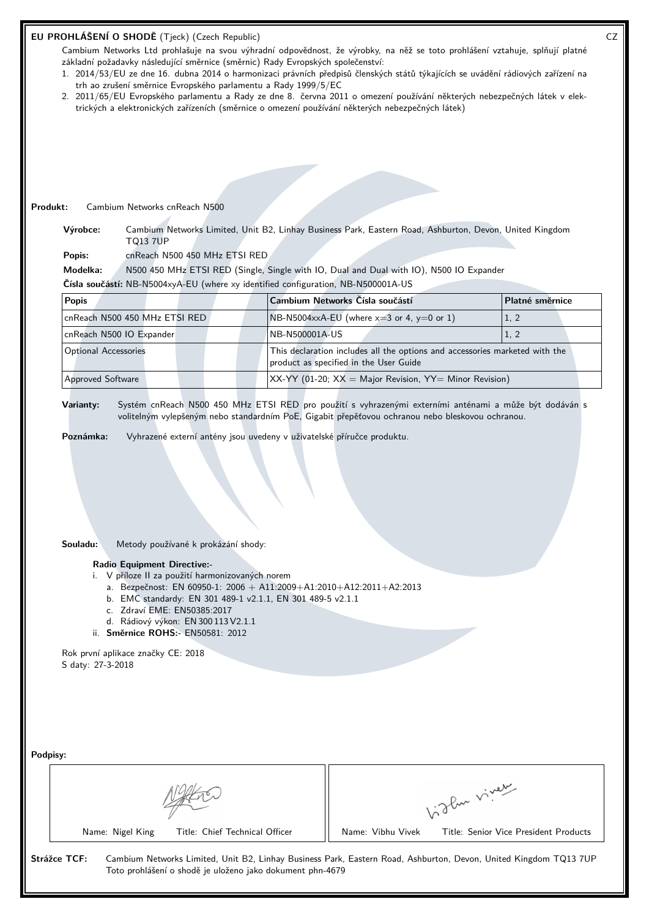| EU PROHLÁŠENÍ O SHODĚ (Tjeck) (Czech Republic)                                                                                                                                                                                |                                                                                                                                                                                                                                                                                                                                         |                |                                                                                                                       |              | CZ                                    |
|-------------------------------------------------------------------------------------------------------------------------------------------------------------------------------------------------------------------------------|-----------------------------------------------------------------------------------------------------------------------------------------------------------------------------------------------------------------------------------------------------------------------------------------------------------------------------------------|----------------|-----------------------------------------------------------------------------------------------------------------------|--------------|---------------------------------------|
| Cambium Networks Ltd prohlašuje na svou výhradní odpovědnost, že výrobky, na něž se toto prohlášení vztahuje, splňují platné                                                                                                  |                                                                                                                                                                                                                                                                                                                                         |                |                                                                                                                       |              |                                       |
| základní požadavky následující směrnice (směrnic) Rady Evropských společenství:                                                                                                                                               |                                                                                                                                                                                                                                                                                                                                         |                |                                                                                                                       |              |                                       |
| 1. 2014/53/EU ze dne 16. dubna 2014 o harmonizaci právních předpisů členských států týkajících se uvádění rádiových zařízení na                                                                                               | trh ao zrušení směrnice Evropského parlamentu a Rady 1999/5/EC                                                                                                                                                                                                                                                                          |                |                                                                                                                       |              |                                       |
| 2. 2011/65/EU Evropského parlamentu a Rady ze dne 8. června 2011 o omezení používání některých nebezpečných látek v elek-<br>trických a elektronických zařízeních (směrnice o omezení používání některých nebezpečných látek) |                                                                                                                                                                                                                                                                                                                                         |                |                                                                                                                       |              |                                       |
|                                                                                                                                                                                                                               |                                                                                                                                                                                                                                                                                                                                         |                |                                                                                                                       |              |                                       |
|                                                                                                                                                                                                                               |                                                                                                                                                                                                                                                                                                                                         |                |                                                                                                                       |              |                                       |
|                                                                                                                                                                                                                               |                                                                                                                                                                                                                                                                                                                                         |                |                                                                                                                       |              |                                       |
|                                                                                                                                                                                                                               |                                                                                                                                                                                                                                                                                                                                         |                |                                                                                                                       |              |                                       |
|                                                                                                                                                                                                                               |                                                                                                                                                                                                                                                                                                                                         |                |                                                                                                                       |              |                                       |
| Cambium Networks cnReach N500<br>Produkt:                                                                                                                                                                                     |                                                                                                                                                                                                                                                                                                                                         |                |                                                                                                                       |              |                                       |
|                                                                                                                                                                                                                               |                                                                                                                                                                                                                                                                                                                                         |                |                                                                                                                       |              |                                       |
| Výrobce:<br><b>TQ13 7UP</b>                                                                                                                                                                                                   |                                                                                                                                                                                                                                                                                                                                         |                | Cambium Networks Limited, Unit B2, Linhay Business Park, Eastern Road, Ashburton, Devon, United Kingdom               |              |                                       |
| Popis:                                                                                                                                                                                                                        | cnReach N500 450 MHz ETSI RED                                                                                                                                                                                                                                                                                                           |                |                                                                                                                       |              |                                       |
| Modelka:                                                                                                                                                                                                                      |                                                                                                                                                                                                                                                                                                                                         |                | N500 450 MHz ETSI RED (Single, Single with IO, Dual and Dual with IO), N500 IO Expander                               |              |                                       |
| Čísla součástí: NB-N5004xyA-EU (where xy identified configuration, NB-N500001A-US                                                                                                                                             |                                                                                                                                                                                                                                                                                                                                         |                |                                                                                                                       |              |                                       |
| <b>Popis</b>                                                                                                                                                                                                                  |                                                                                                                                                                                                                                                                                                                                         |                | Cambium Networks Čísla součástí                                                                                       |              | Platné směrnice                       |
| cnReach N500 450 MHz ETSI RED                                                                                                                                                                                                 |                                                                                                                                                                                                                                                                                                                                         |                | NB-N5004xxA-EU (where $x=3$ or 4, $y=0$ or 1)                                                                         |              | 1, 2                                  |
| cnReach N500 IO Expander                                                                                                                                                                                                      |                                                                                                                                                                                                                                                                                                                                         | NB-N500001A-US |                                                                                                                       |              | 1, 2                                  |
| <b>Optional Accessories</b>                                                                                                                                                                                                   |                                                                                                                                                                                                                                                                                                                                         |                | This declaration includes all the options and accessories marketed with the<br>product as specified in the User Guide |              |                                       |
| <b>Approved Software</b>                                                                                                                                                                                                      |                                                                                                                                                                                                                                                                                                                                         |                | XX-YY (01-20; $XX =$ Major Revision, YY= Minor Revision)                                                              |              |                                       |
|                                                                                                                                                                                                                               |                                                                                                                                                                                                                                                                                                                                         |                |                                                                                                                       |              |                                       |
| Souladu:<br><b>Radio Equipment Directive:-</b><br>Rok první aplikace značky CE: 2018<br>S daty: 27-3-2018                                                                                                                     | Metody používané k prokázání shody:<br>i. V příloze II za použití harmonizovaných norem<br>a. Bezpečnost: EN 60950-1: 2006 + A11:2009+A1:2010+A12:2011+A2:2013<br>b. EMC standardy: EN 301 489-1 v2.1.1, EN 301 489-5 v2.1.1<br>c. Zdraví EME: EN50385:2017<br>d. Rádiový výkon: EN 300 113 V2.1.1<br>ii. Směrnice ROHS:- EN50581: 2012 |                |                                                                                                                       |              |                                       |
| Podpisy:<br>Name: Nigel King                                                                                                                                                                                                  | Title: Chief Technical Officer                                                                                                                                                                                                                                                                                                          |                | Name: Vibhu Vivek                                                                                                     | higher viner | Title: Senior Vice President Products |
| Strážce TCF:                                                                                                                                                                                                                  | Toto prohlášení o shodě je uloženo jako dokument phn-4679                                                                                                                                                                                                                                                                               |                | Cambium Networks Limited, Unit B2, Linhay Business Park, Eastern Road, Ashburton, Devon, United Kingdom TQ13 7UP      |              |                                       |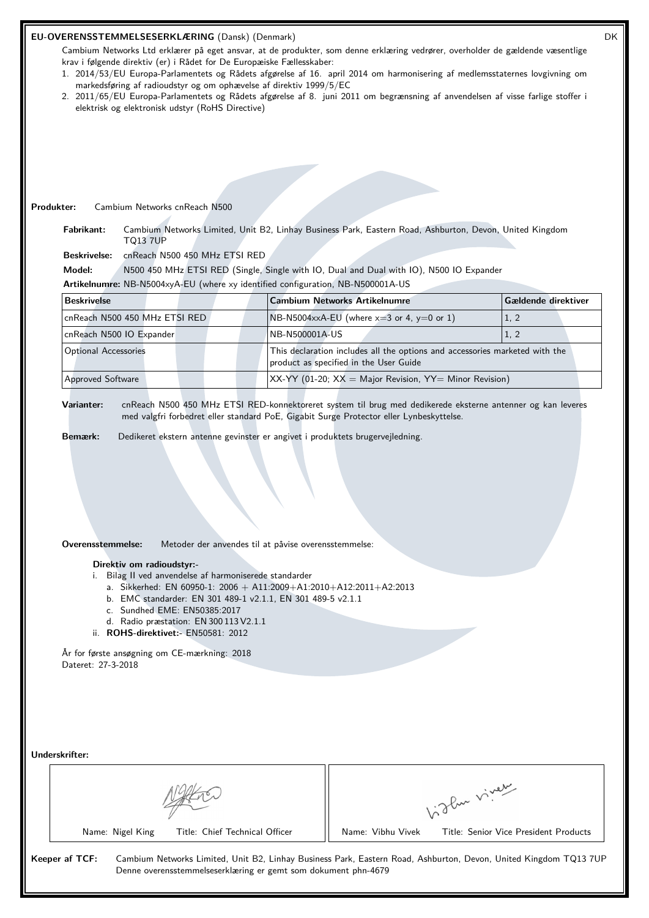| markedsføring af radioudstyr og om ophævelse af direktiv 1999/5/EC<br>elektrisk og elektronisk udstyr (RoHS Directive)<br>Produkter:<br>Cambium Networks cnReach N500<br>Fabrikant:<br><b>TQ13 7UP</b><br><b>Beskrivelse:</b><br>Model:<br>Artikelnumre: NB-N5004xyA-EU (where xy identified configuration, NB-N500001A-US | cnReach N500 450 MHz ETSI RED                                                                                 | krav i følgende direktiv (er) i Rådet for De Europæiske Fællesskaber:                                                 | Cambium Networks Ltd erklærer på eget ansvar, at de produkter, som denne erklæring vedrører, overholder de gældende væsentlige<br>1. 2014/53/EU Europa-Parlamentets og Rådets afgørelse af 16. april 2014 om harmonisering af medlemsstaternes lovgivning om<br>2. 2011/65/EU Europa-Parlamentets og Rådets afgørelse af 8. juni 2011 om begrænsning af anvendelsen af visse farlige stoffer i<br>Cambium Networks Limited, Unit B2, Linhay Business Park, Eastern Road, Ashburton, Devon, United Kingdom<br>N500 450 MHz ETSI RED (Single, Single with IO, Dual and Dual with IO), N500 IO Expander |              |                                                                                                             |
|----------------------------------------------------------------------------------------------------------------------------------------------------------------------------------------------------------------------------------------------------------------------------------------------------------------------------|---------------------------------------------------------------------------------------------------------------|-----------------------------------------------------------------------------------------------------------------------|------------------------------------------------------------------------------------------------------------------------------------------------------------------------------------------------------------------------------------------------------------------------------------------------------------------------------------------------------------------------------------------------------------------------------------------------------------------------------------------------------------------------------------------------------------------------------------------------------|--------------|-------------------------------------------------------------------------------------------------------------|
| <b>Beskrivelse</b>                                                                                                                                                                                                                                                                                                         |                                                                                                               |                                                                                                                       |                                                                                                                                                                                                                                                                                                                                                                                                                                                                                                                                                                                                      |              |                                                                                                             |
|                                                                                                                                                                                                                                                                                                                            |                                                                                                               |                                                                                                                       | <b>Cambium Networks Artikelnumre</b><br>NB-N5004xxA-EU (where $x=3$ or 4, $y=0$ or 1)                                                                                                                                                                                                                                                                                                                                                                                                                                                                                                                |              | Gældende direktiver                                                                                         |
| cnReach N500 450 MHz ETSI RED                                                                                                                                                                                                                                                                                              |                                                                                                               | NB-N500001A-US                                                                                                        |                                                                                                                                                                                                                                                                                                                                                                                                                                                                                                                                                                                                      |              | 1, 2                                                                                                        |
| cnReach N500 IO Expander<br><b>Optional Accessories</b>                                                                                                                                                                                                                                                                    |                                                                                                               |                                                                                                                       | This declaration includes all the options and accessories marketed with the<br>product as specified in the User Guide                                                                                                                                                                                                                                                                                                                                                                                                                                                                                |              | 1, 2                                                                                                        |
| <b>Approved Software</b>                                                                                                                                                                                                                                                                                                   |                                                                                                               |                                                                                                                       | $XX-YY$ (01-20; $XX =$ Major Revision, $YY =$ Minor Revision)                                                                                                                                                                                                                                                                                                                                                                                                                                                                                                                                        |              |                                                                                                             |
| Varianter:<br>Bemærk:                                                                                                                                                                                                                                                                                                      |                                                                                                               |                                                                                                                       | med valgfri forbedret eller standard PoE, Gigabit Surge Protector eller Lynbeskyttelse.<br>Dedikeret ekstern antenne gevinster er angivet i produktets brugervejledning.                                                                                                                                                                                                                                                                                                                                                                                                                             |              | cnReach N500 450 MHz ETSI RED-konnektoreret system til brug med dedikerede eksterne antenner og kan leveres |
| Overensstemmelse:                                                                                                                                                                                                                                                                                                          |                                                                                                               | Metoder der anvendes til at påvise overensstemmelse:                                                                  |                                                                                                                                                                                                                                                                                                                                                                                                                                                                                                                                                                                                      |              |                                                                                                             |
| Direktiv om radioudstyr:-<br>År for første ansøgning om CE-mærkning: 2018<br>Dateret: 27-3-2018                                                                                                                                                                                                                            | c. Sundhed EME: EN50385:2017<br>d. Radio præstation: EN 300 113 V2.1.1<br>ii. ROHS-direktivet:- EN50581: 2012 | i. Bilag II ved anvendelse af harmoniserede standarder<br>b. EMC standarder: EN 301 489-1 v2.1.1, EN 301 489-5 v2.1.1 | a. Sikkerhed: EN 60950-1: 2006 + A11:2009+A1:2010+A12:2011+A2:2013                                                                                                                                                                                                                                                                                                                                                                                                                                                                                                                                   |              |                                                                                                             |
| Underskrifter:                                                                                                                                                                                                                                                                                                             |                                                                                                               |                                                                                                                       |                                                                                                                                                                                                                                                                                                                                                                                                                                                                                                                                                                                                      | Vidley viver |                                                                                                             |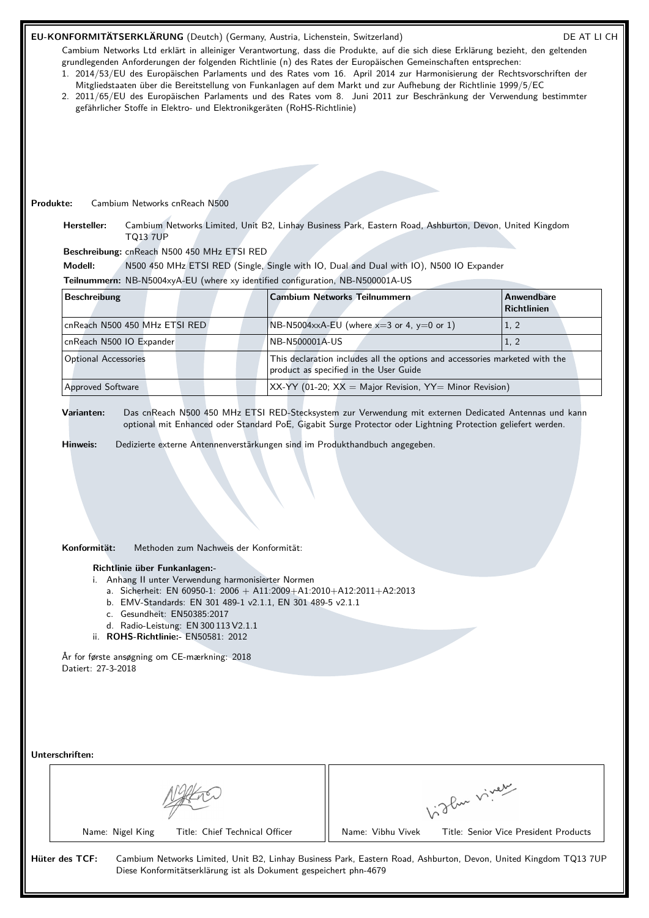# EU-KONFORMITÄTSERKLÄRUNG (Deutch) (Germany, Austria, Lichenstein, Switzerland) DE AT LI CH

Cambium Networks Ltd erklärt in alleiniger Verantwortung, dass die Produkte, auf die sich diese Erklärung bezieht, den geltenden grundlegenden Anforderungen der folgenden Richtlinie (n) des Rates der Europäischen Gemeinschaften entsprechen:

- 1. 2014/53/EU des Europäischen Parlaments und des Rates vom 16. April 2014 zur Harmonisierung der Rechtsvorschriften der Mitgliedstaaten über die Bereitstellung von Funkanlagen auf dem Markt und zur Aufhebung der Richtlinie 1999/5/EC
- 2. 2011/65/EU des Europäischen Parlaments und des Rates vom 8. Juni 2011 zur Beschränkung der Verwendung bestimmter gefährlicher Stoffe in Elektro- und Elektronikgeräten (RoHS-Richtlinie)

**Produkte:** Cambium Networks cnReach N500

**Hersteller:** Cambium Networks Limited, Unit B2, Linhay Business Park, Eastern Road, Ashburton, Devon, United Kingdom TQ13 7UP

**Beschreibung:** cnReach N500 450 MHz ETSI RED

**Modell:** N500 450 MHz ETSI RED (Single, Single with IO, Dual and Dual with IO), N500 IO Expander

**Teilnummern:** NB-N5004xyA-EU (where xy identified configuration, NB-N500001A-US

| <b>Beschreibung</b>           | <b>Cambium Networks Teilnummern</b>                                                                                   | Anwendbare<br>Richtlinien |
|-------------------------------|-----------------------------------------------------------------------------------------------------------------------|---------------------------|
| cnReach N500 450 MHz ETSI RED | $\overline{\text{NB-N5004xxA-EU}}$ (where x=3 or 4, y=0 or 1)                                                         | 1, 2                      |
| cnReach N500 IO Expander      | NB-N500001A-US                                                                                                        | 1, 2                      |
| <b>Optional Accessories</b>   | This declaration includes all the options and accessories marketed with the<br>product as specified in the User Guide |                           |
| <b>Approved Software</b>      | $XX-YY$ (01-20; $XX =$ Major Revision, $YY =$ Minor Revision)                                                         |                           |

**Varianten:** Das cnReach N500 450 MHz ETSI RED-Stecksystem zur Verwendung mit externen Dedicated Antennas und kann optional mit Enhanced oder Standard PoE, Gigabit Surge Protector oder Lightning Protection geliefert werden.

**Hinweis:** Dedizierte externe Antennenverstärkungen sind im Produkthandbuch angegeben.

**Konformität:** Methoden zum Nachweis der Konformität:

#### **Richtlinie über Funkanlagen:-**

- i. Anhang II unter Verwendung harmonisierter Normen
	- a. Sicherheit: EN 60950-1:  $2006 + A11:2009 + A1:2010 + A12:2011 + A2:2013$
	- b. EMV-Standards: EN 301 489-1 v2.1.1, EN 301 489-5 v2.1.1
	- c. Gesundheit: EN50385:2017
	- d. Radio-Leistung: EN 300 113 V2.1.1
- ii. **ROHS-Richtlinie:-** EN50581: 2012

År for første ansøgning om CE-mærkning: 2018 Datiert: 27-3-2018

**Unterschriften:**

| MAKE<br>1 U. |
|--------------|
|--------------|

Name: Nigel King Title: Chief Technical Officer | Name: Vibhu Vivek Title: Senior Vice President Products

Vidley viney

**Hüter des TCF:** Cambium Networks Limited, Unit B2, Linhay Business Park, Eastern Road, Ashburton, Devon, United Kingdom TQ13 7UP Diese Konformitätserklärung ist als Dokument gespeichert phn-4679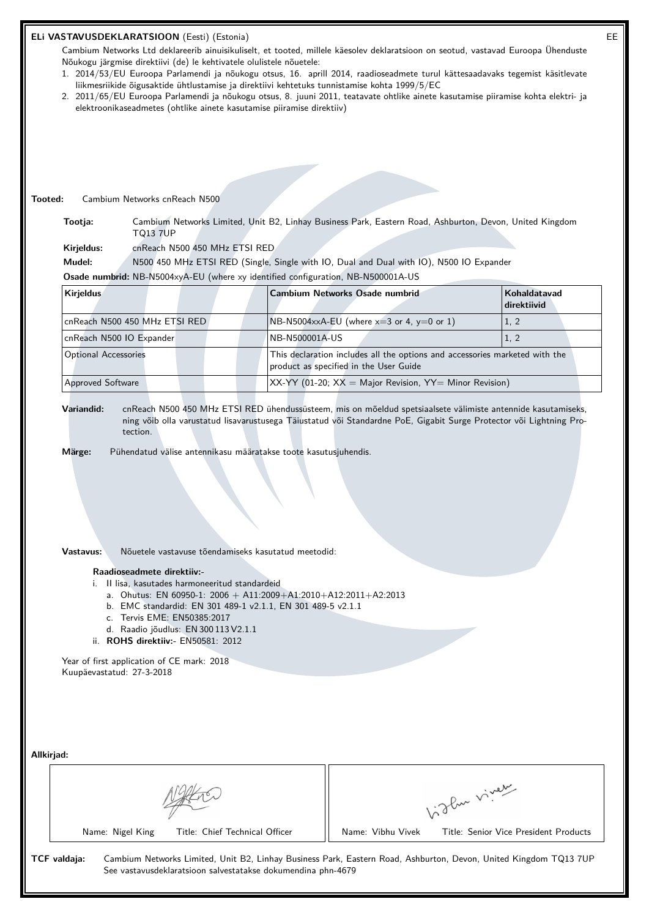|         | ELi VASTAVUSDEKLARATSIOON (Eesti) (Estonia)<br>EE                                                                                                                                                          |                                                     |                                                                                                                                                                                                                                     |                                       |  |
|---------|------------------------------------------------------------------------------------------------------------------------------------------------------------------------------------------------------------|-----------------------------------------------------|-------------------------------------------------------------------------------------------------------------------------------------------------------------------------------------------------------------------------------------|---------------------------------------|--|
|         | Cambium Networks Ltd deklareerib ainuisikuliselt, et tooted, millele käesolev deklaratsioon on seotud, vastavad Euroopa Ühenduste                                                                          |                                                     |                                                                                                                                                                                                                                     |                                       |  |
|         | Nõukogu järgmise direktiivi (de) le kehtivatele olulistele nõuetele:<br>1. 2014/53/EU Euroopa Parlamendi ja nõukogu otsus, 16. aprill 2014, raadioseadmete turul kättesaadavaks tegemist käsitlevate       |                                                     |                                                                                                                                                                                                                                     |                                       |  |
|         | liikmesriikide õigusaktide ühtlustamise ja direktiivi kehtetuks tunnistamise kohta 1999/5/EC                                                                                                               |                                                     |                                                                                                                                                                                                                                     |                                       |  |
|         | 2. 2011/65/EU Euroopa Parlamendi ja nõukogu otsus, 8. juuni 2011, teatavate ohtlike ainete kasutamise piiramise kohta elektri- ja<br>elektroonikaseadmetes (ohtlike ainete kasutamise piiramise direktiiv) |                                                     |                                                                                                                                                                                                                                     |                                       |  |
|         |                                                                                                                                                                                                            |                                                     |                                                                                                                                                                                                                                     |                                       |  |
|         |                                                                                                                                                                                                            |                                                     |                                                                                                                                                                                                                                     |                                       |  |
|         |                                                                                                                                                                                                            |                                                     |                                                                                                                                                                                                                                     |                                       |  |
|         |                                                                                                                                                                                                            |                                                     |                                                                                                                                                                                                                                     |                                       |  |
|         |                                                                                                                                                                                                            |                                                     |                                                                                                                                                                                                                                     |                                       |  |
| Tooted: | Cambium Networks cnReach N500                                                                                                                                                                              |                                                     |                                                                                                                                                                                                                                     |                                       |  |
|         | Tootja:<br><b>TQ13 7UP</b>                                                                                                                                                                                 |                                                     | Cambium Networks Limited, Unit B2, Linhay Business Park, Eastern Road, Ashburton, Devon, United Kingdom                                                                                                                             |                                       |  |
|         | cnReach N500 450 MHz ETSI RED<br>Kirjeldus:                                                                                                                                                                |                                                     |                                                                                                                                                                                                                                     |                                       |  |
|         | Mudel:                                                                                                                                                                                                     |                                                     | N500 450 MHz ETSI RED (Single, Single with IO, Dual and Dual with IO), N500 IO Expander                                                                                                                                             |                                       |  |
|         | Osade numbrid: NB-N5004xyA-EU (where xy identified configuration, NB-N500001A-US                                                                                                                           |                                                     |                                                                                                                                                                                                                                     |                                       |  |
|         | Kirjeldus                                                                                                                                                                                                  |                                                     | Cambium Networks Osade numbrid                                                                                                                                                                                                      | Kohaldatavad<br>direktiivid           |  |
|         | cnReach N500 450 MHz ETSI RED                                                                                                                                                                              |                                                     | NB-N5004xxA-EU (where $x=3$ or 4, $y=0$ or 1)                                                                                                                                                                                       | 1, 2                                  |  |
|         | cnReach N500 IO Expander                                                                                                                                                                                   | NB-N500001A-US                                      |                                                                                                                                                                                                                                     | 1, 2                                  |  |
|         | <b>Optional Accessories</b>                                                                                                                                                                                |                                                     | This declaration includes all the options and accessories marketed with the<br>product as specified in the User Guide                                                                                                               |                                       |  |
|         | Approved Software                                                                                                                                                                                          |                                                     | $XX-YY$ (01-20; $XX =$ Major Revision, $YY =$ Minor Revision)                                                                                                                                                                       |                                       |  |
|         |                                                                                                                                                                                                            |                                                     |                                                                                                                                                                                                                                     |                                       |  |
|         | Variandid:<br>tection.                                                                                                                                                                                     |                                                     | cnReach N500 450 MHz ETSI RED ühendussüsteem, mis on mõeldud spetsiaalsete välimiste antennide kasutamiseks,<br>ning võib olla varustatud lisavarustusega Täiustatud või Standardne PoE, Gigabit Surge Protector või Lightning Pro- |                                       |  |
|         |                                                                                                                                                                                                            |                                                     |                                                                                                                                                                                                                                     |                                       |  |
|         | Märge:<br>Pühendatud välise antennikasu määratakse toote kasutusjuhendis.                                                                                                                                  |                                                     |                                                                                                                                                                                                                                     |                                       |  |
|         |                                                                                                                                                                                                            |                                                     |                                                                                                                                                                                                                                     |                                       |  |
|         |                                                                                                                                                                                                            |                                                     |                                                                                                                                                                                                                                     |                                       |  |
|         |                                                                                                                                                                                                            |                                                     |                                                                                                                                                                                                                                     |                                       |  |
|         |                                                                                                                                                                                                            |                                                     |                                                                                                                                                                                                                                     |                                       |  |
|         |                                                                                                                                                                                                            |                                                     |                                                                                                                                                                                                                                     |                                       |  |
|         | Vastavus:                                                                                                                                                                                                  | Nõuetele vastavuse tõendamiseks kasutatud meetodid: |                                                                                                                                                                                                                                     |                                       |  |
|         | Raadioseadmete direktiiv:-<br>i. Il lisa, kasutades harmoneeritud standardeid                                                                                                                              |                                                     |                                                                                                                                                                                                                                     |                                       |  |
|         | a. Ohutus: EN 60950-1: 2006 + A11:2009+A1:2010+A12:2011+A2:2013                                                                                                                                            |                                                     |                                                                                                                                                                                                                                     |                                       |  |
|         | b. EMC standardid: EN 301 489-1 v2.1.1, EN 301 489-5 v2.1.1<br>c. Tervis EME: EN50385:2017                                                                                                                 |                                                     |                                                                                                                                                                                                                                     |                                       |  |
|         | d. Raadio jõudlus: $EN 300 113 V2.1.1$                                                                                                                                                                     |                                                     |                                                                                                                                                                                                                                     |                                       |  |
|         | ii. ROHS direktiiv:- EN50581: 2012                                                                                                                                                                         |                                                     |                                                                                                                                                                                                                                     |                                       |  |
|         | Year of first application of CE mark: 2018                                                                                                                                                                 |                                                     |                                                                                                                                                                                                                                     |                                       |  |
|         | Kuupäevastatud: 27-3-2018                                                                                                                                                                                  |                                                     |                                                                                                                                                                                                                                     |                                       |  |
|         |                                                                                                                                                                                                            |                                                     |                                                                                                                                                                                                                                     |                                       |  |
|         |                                                                                                                                                                                                            |                                                     |                                                                                                                                                                                                                                     |                                       |  |
|         |                                                                                                                                                                                                            |                                                     |                                                                                                                                                                                                                                     |                                       |  |
|         | Allkirjad:                                                                                                                                                                                                 |                                                     |                                                                                                                                                                                                                                     |                                       |  |
|         |                                                                                                                                                                                                            |                                                     |                                                                                                                                                                                                                                     |                                       |  |
|         |                                                                                                                                                                                                            |                                                     |                                                                                                                                                                                                                                     |                                       |  |
|         |                                                                                                                                                                                                            |                                                     | Light vivey                                                                                                                                                                                                                         |                                       |  |
|         |                                                                                                                                                                                                            |                                                     |                                                                                                                                                                                                                                     |                                       |  |
|         | Name: Nigel King                                                                                                                                                                                           | Title: Chief Technical Officer                      | Name: Vibhu Vivek                                                                                                                                                                                                                   | Title: Senior Vice President Products |  |
|         | TCF valdaja:                                                                                                                                                                                               |                                                     | Cambium Networks Limited, Unit B2, Linhay Business Park, Eastern Road, Ashburton, Devon, United Kingdom TQ13 7UP                                                                                                                    |                                       |  |
|         | See vastavusdeklaratsioon salvestatakse dokumendina phn-4679                                                                                                                                               |                                                     |                                                                                                                                                                                                                                     |                                       |  |
|         |                                                                                                                                                                                                            |                                                     |                                                                                                                                                                                                                                     |                                       |  |
|         |                                                                                                                                                                                                            |                                                     |                                                                                                                                                                                                                                     |                                       |  |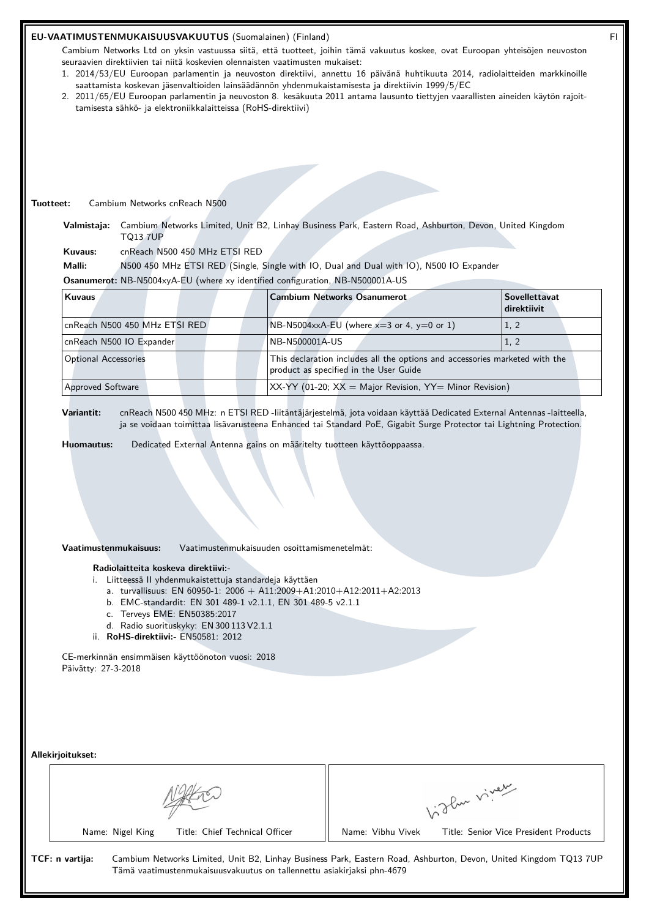#### **EU-VAATIMUSTENMUKAISUUSVAKUUTUS** (Suomalainen) (Finland) FI

Cambium Networks Ltd on yksin vastuussa siitä, että tuotteet, joihin tämä vakuutus koskee, ovat Euroopan yhteisöjen neuvoston seuraavien direktiivien tai niitä koskevien olennaisten vaatimusten mukaiset:

- 1. 2014/53/EU Euroopan parlamentin ja neuvoston direktiivi, annettu 16 päivänä huhtikuuta 2014, radiolaitteiden markkinoille saattamista koskevan jäsenvaltioiden lainsäädännön yhdenmukaistamisesta ja direktiivin 1999/5/EC
- 2. 2011/65/EU Euroopan parlamentin ja neuvoston 8. kesäkuuta 2011 antama lausunto tiettyjen vaarallisten aineiden käytön rajoittamisesta sähkö- ja elektroniikkalaitteissa (RoHS-direktiivi)

#### **Tuotteet:** Cambium Networks cnReach N500

**Valmistaja:** Cambium Networks Limited, Unit B2, Linhay Business Park, Eastern Road, Ashburton, Devon, United Kingdom TQ13 7UP

**Kuvaus:** cnReach N500 450 MHz ETSI RED

**Malli:** N500 450 MHz ETSI RED (Single, Single with IO, Dual and Dual with IO), N500 IO Expander

**Osanumerot:** NB-N5004xyA-EU (where xy identified configuration, NB-N500001A-US

| <b>Kuvaus</b>                 | <b>Cambium Networks Osanumerot</b>                                                                                    | <b>Sovellettavat</b><br>direktiivit |
|-------------------------------|-----------------------------------------------------------------------------------------------------------------------|-------------------------------------|
| cnReach N500 450 MHz ETSI RED | $N\text{B-N5004} \times A$ -EU (where $x=3$ or 4, $y=0$ or 1)                                                         | 1, 2                                |
| cnReach N500 IO Expander      | NB-N500001A-US                                                                                                        | 1, 2                                |
| <b>Optional Accessories</b>   | This declaration includes all the options and accessories marketed with the<br>product as specified in the User Guide |                                     |
| <b>Approved Software</b>      | $XX-YY$ (01-20; $XX =$ Major Revision, $YY =$ Minor Revision)                                                         |                                     |

**Variantit:** cnReach N500 450 MHz: n ETSI RED -liitäntäjärjestelmä, jota voidaan käyttää Dedicated External Antennas -laitteella, ja se voidaan toimittaa lisävarusteena Enhanced tai Standard PoE, Gigabit Surge Protector tai Lightning Protection.

**Huomautus:** Dedicated External Antenna gains on määritelty tuotteen käyttöoppaassa.

#### **Vaatimustenmukaisuus:** Vaatimustenmukaisuuden osoittamismenetelmät:

#### **Radiolaitteita koskeva direktiivi:-**

- i. Liitteessä II yhdenmukaistettuja standardeja käyttäen
	- a. turvallisuus: EN 60950-1: 2006 + A11:2009+A1:2010+A12:2011+A2:2013
	- b. EMC-standardit: EN 301 489-1 v2.1.1, EN 301 489-5 v2.1.1
	- c. Terveys EME: EN50385:2017
	- d. Radio suorituskyky: EN 300 113 V2.1.1
- ii. **RoHS-direktiivi:-** EN50581: 2012

CE-merkinnän ensimmäisen käyttöönoton vuosi: 2018 Päivätty: 27-3-2018

**Allekirjoitukset:**

| Allekirjoitukset: |                  |                                                                        |                   | 3 Pur viver                                                                                                      |
|-------------------|------------------|------------------------------------------------------------------------|-------------------|------------------------------------------------------------------------------------------------------------------|
|                   | Name: Nigel King | Title: Chief Technical Officer                                         | Name: Vibhu Vivek | Title: Senior Vice President Products                                                                            |
| TCF: n vartija:   |                  | Tämä vaatimustenmukaisuusvakuutus on tallennettu asiakirjaksi phn-4679 |                   | Cambium Networks Limited, Unit B2, Linhay Business Park, Eastern Road, Ashburton, Devon, United Kingdom TQ13 7UP |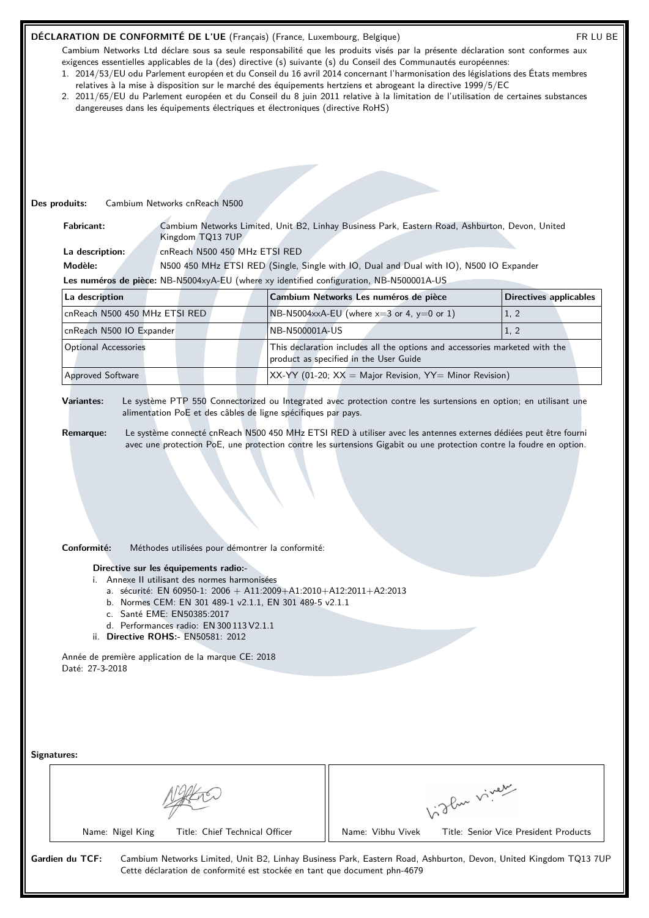## **DÉCLARATION DE CONFORMITÉ DE L'UE** (Français) (France, Luxembourg, Belgique) FR LU BE

Cambium Networks Ltd déclare sous sa seule responsabilité que les produits visés par la présente déclaration sont conformes aux exigences essentielles applicables de la (des) directive (s) suivante (s) du Conseil des Communautés européennes:

- 1. 2014/53/EU odu Parlement européen et du Conseil du 16 avril 2014 concernant l'harmonisation des législations des États membres relatives à la mise à disposition sur le marché des équipements hertziens et abrogeant la directive 1999/5/EC
- 2. 2011/65/EU du Parlement européen et du Conseil du 8 juin 2011 relative à la limitation de l'utilisation de certaines substances dangereuses dans les équipements électriques et électroniques (directive RoHS)

# **Des produits:** Cambium Networks cnReach N500

**Fabricant:** Cambium Networks Limited, Unit B2, Linhay Business Park, Eastern Road, Ashburton, Devon, United Kingdom TQ13 7UP

**La description:** cnReach N500 450 MHz ETSI RED

**Modèle:** N500 450 MHz ETSI RED (Single, Single with IO, Dual and Dual with IO), N500 IO Expander **Les numéros de pièce:** NB-N5004xyA-EU (where xy identified configuration, NB-N500001A-US

| La description                | Cambium Networks Les numéros de pièce                                                                                 | Directives applicables |
|-------------------------------|-----------------------------------------------------------------------------------------------------------------------|------------------------|
| cnReach N500 450 MHz ETSI RED | $N_{\text{B-N5004xx}}$ A-EU (where $x=3$ or 4, y=0 or 1)                                                              | 1, 2                   |
| cnReach N500 IO Expander      | NB-N500001A-US                                                                                                        | 1, 2                   |
| <b>Optional Accessories</b>   | This declaration includes all the options and accessories marketed with the<br>product as specified in the User Guide |                        |
| <b>Approved Software</b>      | $\vert$ XX-YY (01-20; XX = Major Revision, YY= Minor Revision)                                                        |                        |

**Variantes:** Le système PTP 550 Connectorized ou Integrated avec protection contre les surtensions en option; en utilisant une alimentation PoE et des câbles de ligne spécifiques par pays.

- **Remarque:** Le système connecté cnReach N500 450 MHz ETSI RED à utiliser avec les antennes externes dédiées peut être fourni avec une protection PoE, une protection contre les surtensions Gigabit ou une protection contre la foudre en option.
- **Conformité:** Méthodes utilisées pour démontrer la conformité:

## **Directive sur les équipements radio:-**

- i. Annexe II utilisant des normes harmonisées
	- a. sécurité: EN 60950-1:  $2006 + A11:2009 + A1:2010 + A12:2011 + A2:2013$
	- b. Normes CEM: EN 301 489-1 v2.1.1, EN 301 489-5 v2.1.1
	- c. Santé EME: EN50385:2017
	- d. Performances radio: EN 300 113 V2.1.1
- ii. **Directive ROHS:-** EN50581: 2012

Année de première application de la marque CE: 2018 Daté: 27-3-2018

|                  |                                | 1.3 Pur viver     |                                       |
|------------------|--------------------------------|-------------------|---------------------------------------|
| Name: Nigel King | Title: Chief Technical Officer | Name: Vibhu Vivek | Title: Senior Vice President Products |

Cette déclaration de conformité est stockée en tant que document phn-4679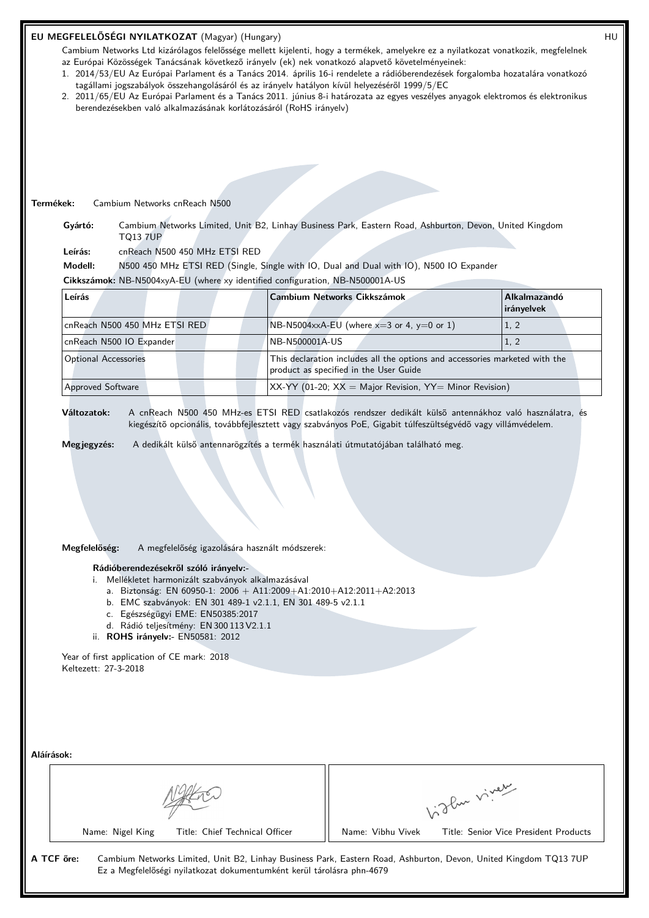## **EU MEGFELELŐSÉGI NYILATKOZAT** (Magyar) (Hungary) HU

Cambium Networks Ltd kizárólagos felelőssége mellett kijelenti, hogy a termékek, amelyekre ez a nyilatkozat vonatkozik, megfelelnek az Európai Közösségek Tanácsának következő irányelv (ek) nek vonatkozó alapvető követelményeinek:

- 1. 2014/53/EU Az Európai Parlament és a Tanács 2014. április 16-i rendelete a rádióberendezések forgalomba hozatalára vonatkozó tagállami jogszabályok összehangolásáról és az irányelv hatályon kívül helyezéséről 1999/5/EC
- 2. 2011/65/EU Az Európai Parlament és a Tanács 2011. június 8-i határozata az egyes veszélyes anyagok elektromos és elektronikus berendezésekben való alkalmazásának korlátozásáról (RoHS irányelv)

#### **Termékek:** Cambium Networks cnReach N500

**Gyártó:** Cambium Networks Limited, Unit B2, Linhay Business Park, Eastern Road, Ashburton, Devon, United Kingdom TQ13 7UP

**Leírás:** cnReach N500 450 MHz ETSI RED

**Modell:** N500 450 MHz ETSI RED (Single, Single with IO, Dual and Dual with IO), N500 IO Expander

**Cikkszámok:** NB-N5004xyA-EU (where xy identified configuration, NB-N500001A-US

| Leírás                                                                                                                                               | <b>Cambium Networks Cikkszámok</b>                            | <b>Alkalmazandó</b><br><b>irányelvek</b> |
|------------------------------------------------------------------------------------------------------------------------------------------------------|---------------------------------------------------------------|------------------------------------------|
| cnReach N500 450 MHz ETSI RED                                                                                                                        | $N B-N5004$ xxA-EU (where x=3 or 4, y=0 or 1)                 | 1, 2                                     |
| cnReach N500 IO Expander                                                                                                                             | NB-N500001A-US                                                | 1, 2                                     |
| This declaration includes all the options and accessories marketed with the<br><b>Optional Accessories</b><br>product as specified in the User Guide |                                                               |                                          |
| <b>Approved Software</b>                                                                                                                             | $XX-YY$ (01-20; $XX =$ Major Revision, $YY =$ Minor Revision) |                                          |

**Változatok:** A cnReach N500 450 MHz-es ETSI RED csatlakozós rendszer dedikált külsõ antennákhoz való használatra, és kiegészítõ opcionális, továbbfejlesztett vagy szabványos PoE, Gigabit túlfeszültségvédõ vagy villámvédelem.

**Megjegyzés:** A dedikált külső antennarögzítés a termék használati útmutatójában található meg.

## **Megfelelőség:** A megfelelőség igazolására használt módszerek:

#### **Rádióberendezésekről szóló irányelv:-**

i. Mellékletet harmonizált szabványok alkalmazásával

- a. Biztonság: EN 60950-1: 2006 + A11:2009+A1:2010+A12:2011+A2:2013
- b. EMC szabványok: EN 301 489-1 v2.1.1, EN 301 489-5 v2.1.1
- c. Egészségügyi EME: EN50385:2017
- d. Rádió teljesítmény: EN 300 113 V2.1.1
- ii. **ROHS irányelv:-** EN50581: 2012

Year of first application of CE mark: 2018 Keltezett: 27-3-2018

|                                                    | of der viver      |                                       |
|----------------------------------------------------|-------------------|---------------------------------------|
| Title: Chief Technical Officer<br>Name: Nigel King | Name: Vibhu Vivek | Title: Senior Vice President Products |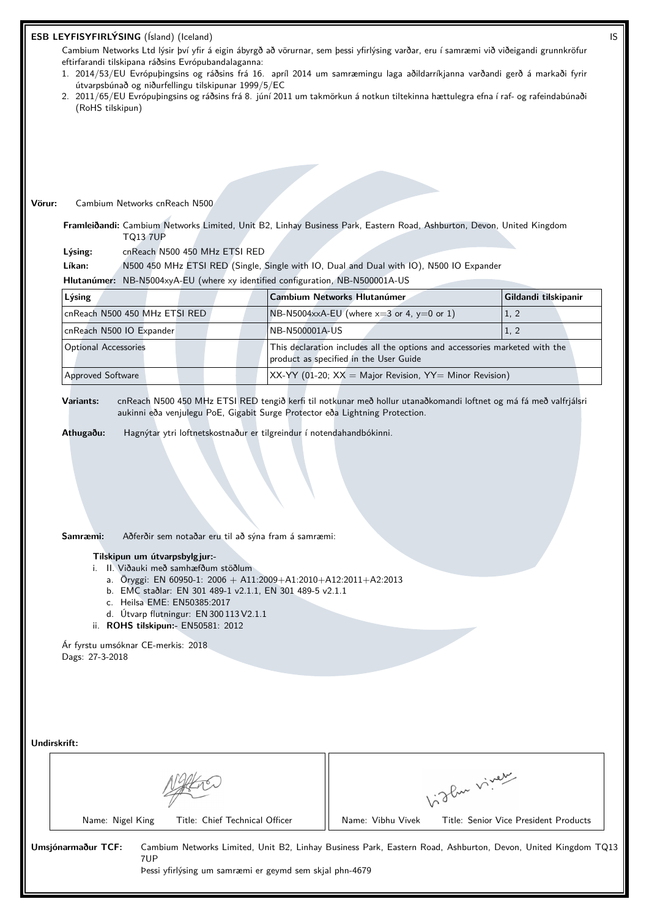| ESB LEYFISYFIRLÝSING (Ísland) (Iceland) |  |  |  |
|-----------------------------------------|--|--|--|
|-----------------------------------------|--|--|--|

Cambium Networks Ltd lýsir því yfir á eigin ábyrgð að vörurnar, sem þessi yfirlýsing varðar, eru í samræmi við viðeigandi grunnkröfur eftirfarandi tilskipana ráðsins Evrópubandalaganna:

- 1. 2014/53/EU Evrópuþingsins og ráðsins frá 16. apríl 2014 um samræmingu laga aðildarríkjanna varðandi gerð á markaði fyrir útvarpsbúnað og niðurfellingu tilskipunar 1999/5/EC
- 2. 2011/65/EU Evrópuþingsins og ráðsins frá 8. júní 2011 um takmörkun á notkun tiltekinna hættulegra efna í raf- og rafeindabúnaði (RoHS tilskipun)

# **Vörur:** Cambium Networks cnReach N500

**Framleiðandi:** Cambium Networks Limited, Unit B2, Linhay Business Park, Eastern Road, Ashburton, Devon, United Kingdom TQ13 7UP

**Lýsing:** cnReach N500 450 MHz ETSI RED

**Líkan:** N500 450 MHz ETSI RED (Single, Single with IO, Dual and Dual with IO), N500 IO Expander

**Hlutanúmer:** NB-N5004xyA-EU (where xy identified configuration, NB-N500001A-US

| Lýsing                        | Cambium Networks Hlutanúmer                                                                                           | Gildandi tilskipanir |
|-------------------------------|-----------------------------------------------------------------------------------------------------------------------|----------------------|
| cnReach N500 450 MHz ETSI RED | $N_{\text{B-N5004xx}}$ A-EU (where x=3 or 4, y=0 or 1)                                                                | 1, 2                 |
| cnReach N500 IO Expander      | NB-N500001A-US                                                                                                        | 1, 2                 |
| <b>Optional Accessories</b>   | This declaration includes all the options and accessories marketed with the<br>product as specified in the User Guide |                      |
| <b>Approved Software</b>      | $XX-YY$ (01-20; $XX =$ Major Revision, $YY =$ Minor Revision)                                                         |                      |

**Variants:** cnReach N500 450 MHz ETSI RED tengið kerfi til notkunar með hollur utanaðkomandi loftnet og má fá með valfrjálsri aukinni eða venjulegu PoE, Gigabit Surge Protector eða Lightning Protection.

**Athugaðu:** Hagnýtar ytri loftnetskostnaður er tilgreindur í notendahandbókinni.

**Samræmi:** Aðferðir sem notaðar eru til að sýna fram á samræmi:

# **Tilskipun um útvarpsbylgjur:-**

- i. II. Viðauki með samhæfðum stöðlum
	- a. Öryggi: EN 60950-1: 2006 + A11:2009+A1:2010+A12:2011+A2:2013
	- b. EMC staðlar: EN 301 489-1 v2.1.1, EN 301 489-5 v2.1.1
	- c. Heilsa EME: EN50385:2017
	- d. Útvarp flutningur: EN 300 113 V2.1.1
- ii. **ROHS tilskipun:-** EN50581: 2012

Ár fyrstu umsóknar CE-merkis: 2018 Dags: 27-3-2018

**Undirskrift:**

|                    |                                                                | oflux viver       |                                                                                                              |
|--------------------|----------------------------------------------------------------|-------------------|--------------------------------------------------------------------------------------------------------------|
| Name: Nigel King   | Title: Chief Technical Officer                                 | Name: Vibhu Vivek | Title: Senior Vice President Products                                                                        |
| Umsjónarmaður TCF: | 7UP<br>Pessi yfirlýsing um samræmi er geymd sem skjal phn-4679 |                   | Cambium Networks Limited, Unit B2, Linhay Business Park, Eastern Road, Ashburton, Devon, United Kingdom TQ13 |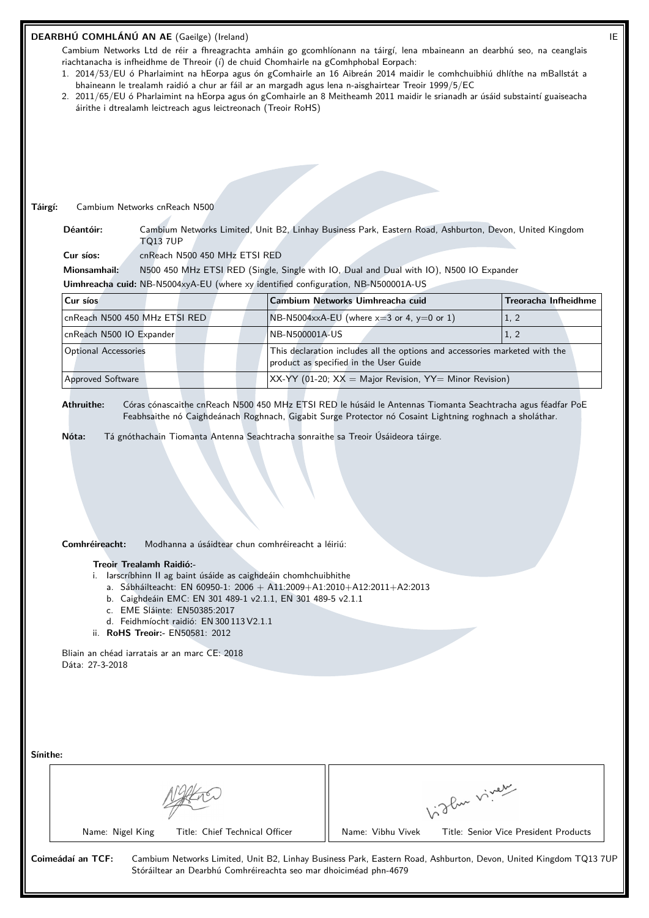|                                                                  | DEARBHÚ COMHLÁNÚ AN AE (Gaeilge) (Ireland)                                                                                                                                                                  |                                                                                                                                                                                                                                                                                                                                                 |                                                      | IE |
|------------------------------------------------------------------|-------------------------------------------------------------------------------------------------------------------------------------------------------------------------------------------------------------|-------------------------------------------------------------------------------------------------------------------------------------------------------------------------------------------------------------------------------------------------------------------------------------------------------------------------------------------------|------------------------------------------------------|----|
|                                                                  |                                                                                                                                                                                                             | Cambium Networks Ltd de réir a fhreagrachta amháin go gcomhlíonann na táirgí, lena mbaineann an dearbhú seo, na ceanglais<br>riachtanacha is infheidhme de Threoir (í) de chuid Chomhairle na gComhphobal Eorpach:<br>1. 2014/53/EU ó Pharlaimint na hEorpa agus ón gComhairle an 16 Aibreán 2014 maidir le comhchuibhiú dhlíthe na mBallstát a |                                                      |    |
|                                                                  | áirithe i dtrealamh leictreach agus leictreonach (Treoir RoHS)                                                                                                                                              | bhaineann le trealamh raidió a chur ar fáil ar an margadh agus lena n-aisghairtear Treoir 1999/5/EC<br>2. 2011/65/EU ó Pharlaimint na hEorpa agus ón gComhairle an 8 Meitheamh 2011 maidir le srianadh ar úsáid substaintí guaiseacha                                                                                                           |                                                      |    |
|                                                                  |                                                                                                                                                                                                             |                                                                                                                                                                                                                                                                                                                                                 |                                                      |    |
|                                                                  |                                                                                                                                                                                                             |                                                                                                                                                                                                                                                                                                                                                 |                                                      |    |
|                                                                  |                                                                                                                                                                                                             |                                                                                                                                                                                                                                                                                                                                                 |                                                      |    |
|                                                                  |                                                                                                                                                                                                             |                                                                                                                                                                                                                                                                                                                                                 |                                                      |    |
| Cambium Networks cnReach N500<br>Táirgí:                         |                                                                                                                                                                                                             |                                                                                                                                                                                                                                                                                                                                                 |                                                      |    |
| Déantóir:<br><b>TO13 7UP</b>                                     |                                                                                                                                                                                                             | Cambium Networks Limited, Unit B2, Linhay Business Park, Eastern Road, Ashburton, Devon, United Kingdom                                                                                                                                                                                                                                         |                                                      |    |
| Cur síos:                                                        | cnReach N500 450 MHz ETSI RED                                                                                                                                                                               |                                                                                                                                                                                                                                                                                                                                                 |                                                      |    |
| Mionsamhail:                                                     |                                                                                                                                                                                                             | N500 450 MHz ETSI RED (Single, Single with IO, Dual and Dual with IO), N500 IO Expander                                                                                                                                                                                                                                                         |                                                      |    |
|                                                                  |                                                                                                                                                                                                             | Uimhreacha cuid: NB-N5004xyA-EU (where xy identified configuration, NB-N500001A-US                                                                                                                                                                                                                                                              |                                                      |    |
| Cur síos                                                         |                                                                                                                                                                                                             | Cambium Networks Uimhreacha cuid                                                                                                                                                                                                                                                                                                                | Treoracha Infheidhme                                 |    |
| cnReach N500 450 MHz ETSI RED                                    |                                                                                                                                                                                                             | NB-N5004xxA-EU (where $x=3$ or 4, $y=0$ or 1)                                                                                                                                                                                                                                                                                                   | 1, 2                                                 |    |
| cnReach N500 IO Expander                                         |                                                                                                                                                                                                             | NB-N500001A-US                                                                                                                                                                                                                                                                                                                                  | 1, 2                                                 |    |
| <b>Optional Accessories</b>                                      |                                                                                                                                                                                                             | This declaration includes all the options and accessories marketed with the<br>product as specified in the User Guide                                                                                                                                                                                                                           |                                                      |    |
| Approved Software                                                |                                                                                                                                                                                                             | $XX-YY$ (01-20; $XX =$ Major Revision, $YY =$ Minor Revision)                                                                                                                                                                                                                                                                                   |                                                      |    |
|                                                                  |                                                                                                                                                                                                             |                                                                                                                                                                                                                                                                                                                                                 |                                                      |    |
| Athruithe:                                                       |                                                                                                                                                                                                             | Córas cónascaithe cnReach N500 450 MHz ETSI RED le húsáid le Antennas Tiomanta Seachtracha agus féadfar PoE<br>Feabhsaithe nó Caighdeánach Roghnach, Gigabit Surge Protector nó Cosaint Lightning roghnach a sholáthar.                                                                                                                         |                                                      |    |
| Comhréireacht:<br>Treoir Trealamh Raidió:-                       | Modhanna a úsáidtear chun comhréireacht a léiriú:                                                                                                                                                           |                                                                                                                                                                                                                                                                                                                                                 |                                                      |    |
| ii. RoHS Treoir:- EN50581: 2012                                  | i. larscríbhinn II ag baint úsáide as caighdeáin chomhchuibhithe<br>b. Caighdeáin EMC: EN 301 489-1 v2.1.1, EN 301 489-5 v2.1.1<br>c. EME Sláinte: EN50385:2017<br>d. Feidhmíocht raidió: EN 300 113 V2.1.1 | a. Sábháilteacht: EN 60950-1: 2006 + A11:2009+A1:2010+A12:2011+A2:2013                                                                                                                                                                                                                                                                          |                                                      |    |
| Bliain an chéad iarratais ar an marc CE: 2018<br>Dáta: 27-3-2018 |                                                                                                                                                                                                             |                                                                                                                                                                                                                                                                                                                                                 |                                                      |    |
|                                                                  |                                                                                                                                                                                                             |                                                                                                                                                                                                                                                                                                                                                 |                                                      |    |
|                                                                  |                                                                                                                                                                                                             |                                                                                                                                                                                                                                                                                                                                                 |                                                      |    |
|                                                                  |                                                                                                                                                                                                             |                                                                                                                                                                                                                                                                                                                                                 |                                                      |    |
|                                                                  |                                                                                                                                                                                                             |                                                                                                                                                                                                                                                                                                                                                 |                                                      |    |
|                                                                  |                                                                                                                                                                                                             |                                                                                                                                                                                                                                                                                                                                                 |                                                      |    |
|                                                                  |                                                                                                                                                                                                             |                                                                                                                                                                                                                                                                                                                                                 |                                                      |    |
|                                                                  |                                                                                                                                                                                                             |                                                                                                                                                                                                                                                                                                                                                 |                                                      |    |
| Sínithe:<br>Name: Nigel King                                     | Title: Chief Technical Officer                                                                                                                                                                              | Name: Vibhu Vivek                                                                                                                                                                                                                                                                                                                               | Light viver<br>Title: Senior Vice President Products |    |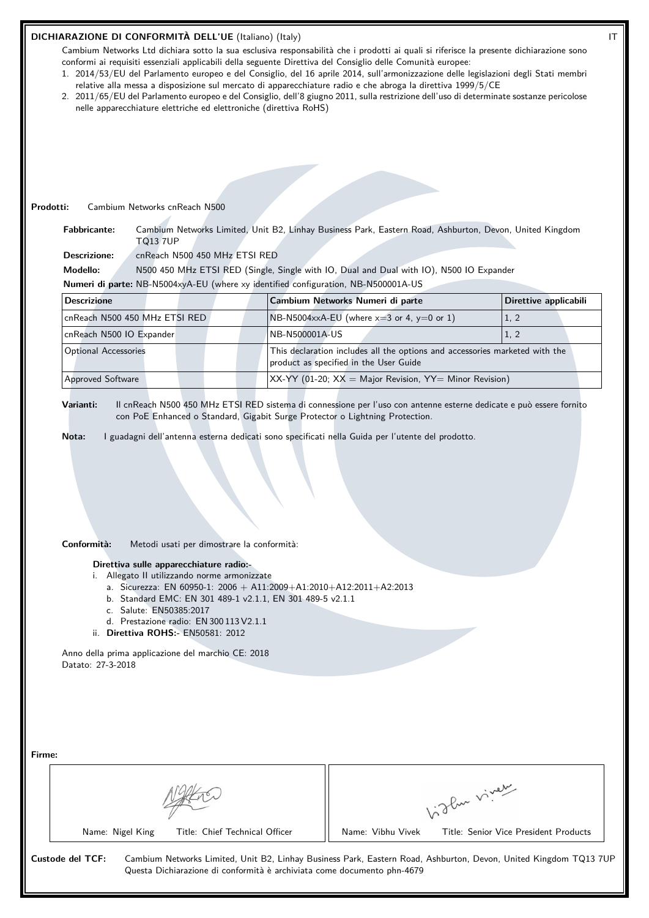## **DICHIARAZIONE DI CONFORMITÀ DELL'UE** (Italiano) (Italy) IT

Cambium Networks Ltd dichiara sotto la sua esclusiva responsabilità che i prodotti ai quali si riferisce la presente dichiarazione sono conformi ai requisiti essenziali applicabili della seguente Direttiva del Consiglio delle Comunità europee:

- 1. 2014/53/EU del Parlamento europeo e del Consiglio, del 16 aprile 2014, sull'armonizzazione delle legislazioni degli Stati membri relative alla messa a disposizione sul mercato di apparecchiature radio e che abroga la direttiva 1999/5/CE
- 2. 2011/65/EU del Parlamento europeo e del Consiglio, dell'8 giugno 2011, sulla restrizione dell'uso di determinate sostanze pericolose nelle apparecchiature elettriche ed elettroniche (direttiva RoHS)

## **Prodotti:** Cambium Networks cnReach N500

**Fabbricante:** Cambium Networks Limited, Unit B2, Linhay Business Park, Eastern Road, Ashburton, Devon, United Kingdom TQ13 7UP

**Descrizione:** cnReach N500 450 MHz ETSI RED

**Modello:** N500 450 MHz ETSI RED (Single, Single with IO, Dual and Dual with IO), N500 IO Expander

**Numeri di parte:** NB-N5004xyA-EU (where xy identified configuration, NB-N500001A-US

| <b>Descrizione</b>            | Cambium Networks Numeri di parte                                                                                      | Direttive applicabili |
|-------------------------------|-----------------------------------------------------------------------------------------------------------------------|-----------------------|
| cnReach N500 450 MHz ETSI RED | $N$ B-N5004xxA-EU (where $x=3$ or 4, $y=0$ or 1)                                                                      | 1, 2                  |
| cnReach N500 IO Expander      | NB-N500001A-US                                                                                                        | 1, 2                  |
| <b>Optional Accessories</b>   | This declaration includes all the options and accessories marketed with the<br>product as specified in the User Guide |                       |
| <b>Approved Software</b>      | $\vert$ XX-YY (01-20; XX = Major Revision, YY= Minor Revision)                                                        |                       |

**Varianti:** Il cnReach N500 450 MHz ETSI RED sistema di connessione per l'uso con antenne esterne dedicate e può essere fornito con PoE Enhanced o Standard, Gigabit Surge Protector o Lightning Protection.

**Nota:** I guadagni dell'antenna esterna dedicati sono specificati nella Guida per l'utente del prodotto.

# **Conformità:** Metodi usati per dimostrare la conformità:

## **Direttiva sulle apparecchiature radio:-**

- i. Allegato II utilizzando norme armonizzate
	- a. Sicurezza: EN 60950-1: 2006 + A11:2009+A1:2010+A12:2011+A2:2013
	- b. Standard EMC: EN 301 489-1 v2.1.1, EN 301 489-5 v2.1.1
	- c. Salute: EN50385:2017
	- d. Prestazione radio: EN 300 113 V2.1.1
- ii. **Direttiva ROHS:-** EN50581: 2012

Anno della prima applicazione del marchio CE: 2018 Datato: 27-3-2018

| Firme:           |                  |                                                                         |                   |                                                                                                                  |
|------------------|------------------|-------------------------------------------------------------------------|-------------------|------------------------------------------------------------------------------------------------------------------|
|                  |                  |                                                                         | 1. The viver      |                                                                                                                  |
|                  | Name: Nigel King | Title: Chief Technical Officer                                          | Name: Vibhu Vivek | Title: Senior Vice President Products                                                                            |
| Custode del TCF: |                  | Questa Dichiarazione di conformità è archiviata come documento phn-4679 |                   | Cambium Networks Limited, Unit B2, Linhay Business Park, Eastern Road, Ashburton, Devon, United Kingdom TQ13 7UP |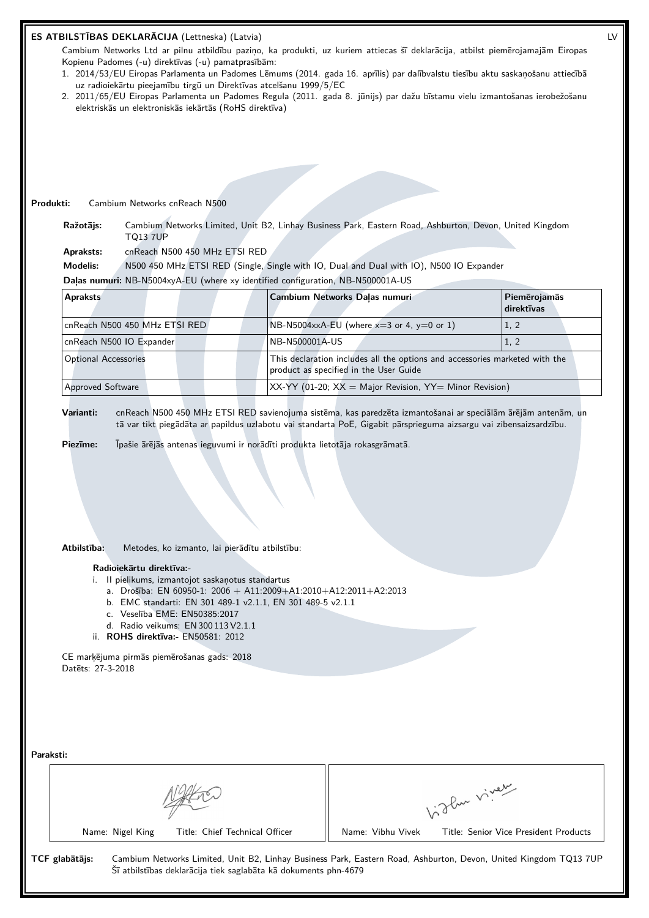## **ES ATBILSTĪBAS DEKLARĀCIJA** (Lettneska) (Latvia) LV

Cambium Networks Ltd ar pilnu atbildību paziņo, ka produkti, uz kuriem attiecas šī deklarācija, atbilst piemērojamajām Eiropas Kopienu Padomes (-u) direktīvas (-u) pamatprasībām:

- 1. 2014/53/EU Eiropas Parlamenta un Padomes Lēmums (2014. gada 16. aprīlis) par dalībvalstu tiesību aktu saskaņošanu attiecībā uz radioiekārtu pieejamību tirgū un Direktīvas atcelšanu 1999/5/EC
- 2. 2011/65/EU Eiropas Parlamenta un Padomes Regula (2011. gada 8. jūnijs) par dažu bīstamu vielu izmantošanas ierobežošanu elektriskās un elektroniskās iekārtās (RoHS direktīva)

#### **Produkti:** Cambium Networks cnReach N500

**Ražotājs:** Cambium Networks Limited, Unit B2, Linhay Business Park, Eastern Road, Ashburton, Devon, United Kingdom TQ13 7UP

**Apraksts:** cnReach N500 450 MHz ETSI RED

**Modelis:** N500 450 MHz ETSI RED (Single, Single with IO, Dual and Dual with IO), N500 IO Expander

**Daļas numuri:** NB-N5004xyA-EU (where xy identified configuration, NB-N500001A-US

| <b>Apraksts</b>               | Cambium Networks Dalas numuri                                                                                         | Piemērojamās<br>direktīvas |  |
|-------------------------------|-----------------------------------------------------------------------------------------------------------------------|----------------------------|--|
| cnReach N500 450 MHz ETSI RED | $N\text{B-N5004} \times A$ -EU (where $x=3$ or 4, $y=0$ or 1)                                                         | 1, 2                       |  |
| cnReach N500 IO Expander      | NB-N500001A-US                                                                                                        | 1, 2                       |  |
| <b>Optional Accessories</b>   | This declaration includes all the options and accessories marketed with the<br>product as specified in the User Guide |                            |  |
| <b>Approved Software</b>      | $XX-YY$ (01-20; $XX =$ Major Revision, $YY =$ Minor Revision)                                                         |                            |  |

**Varianti:** cnReach N500 450 MHz ETSI RED savienojuma sistēma, kas paredzēta izmantošanai ar speciālām ārējām antenām, un tā var tikt piegādāta ar papildus uzlabotu vai standarta PoE, Gigabit pārsprieguma aizsargu vai zibensaizsardzību.

**Piezīme:** Īpašie ārējās antenas ieguvumi ir norādīti produkta lietotāja rokasgrāmatā.

#### **Atbilstība:** Metodes, ko izmanto, lai pierādītu atbilstību:

#### **Radioiekārtu direktīva:-**

- i. II pielikums, izmantojot saskaņotus standartus
	- a. Drošība: EN 60950-1: 2006 + A11:2009+A1:2010+A12:2011+A2:2013
	- b. EMC standarti: EN 301 489-1 v2.1.1, EN 301 489-5 v2.1.1
	- c. Veselība EME: EN50385:2017
	- d. Radio veikums: EN 300 113 V2.1.1
- ii. **ROHS direktīva:-** EN50581: 2012

CE marķējuma pirmās piemērošanas gads: 2018 Datēts: 27-3-2018

| Paraksti: |                |                  |                                                                 |                   |                                                                                                                  |
|-----------|----------------|------------------|-----------------------------------------------------------------|-------------------|------------------------------------------------------------------------------------------------------------------|
|           |                |                  | 1. The viver                                                    |                   |                                                                                                                  |
|           |                | Name: Nigel King | Title: Chief Technical Officer                                  | Name: Vibhu Vivek | Title: Senior Vice President Products                                                                            |
|           | TCF glabātājs: |                  | Šī atbilstības deklarācija tiek saglabāta kā dokuments phn-4679 |                   | Cambium Networks Limited, Unit B2, Linhay Business Park, Eastern Road, Ashburton, Devon, United Kingdom TQ13 7UP |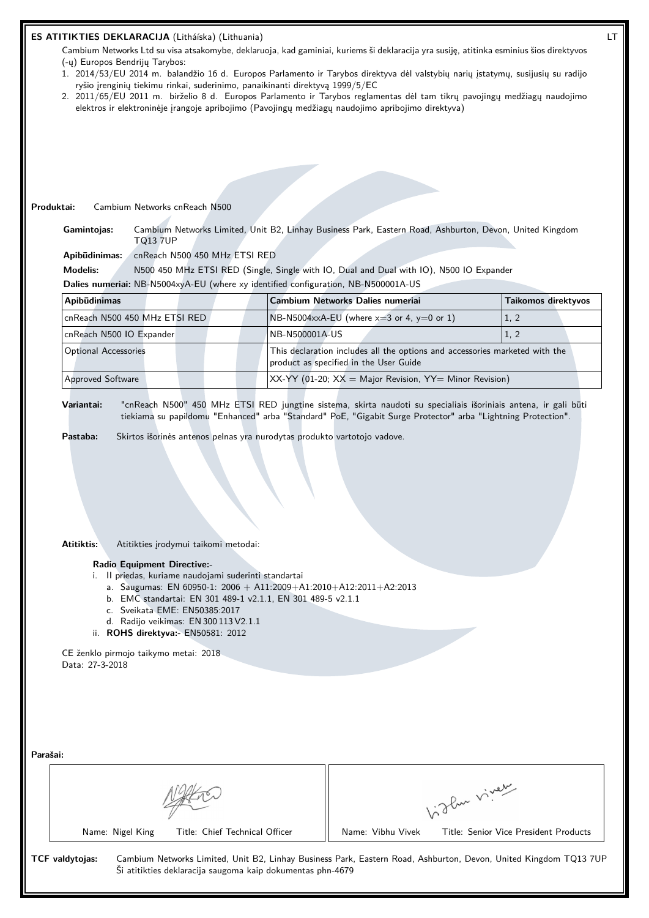|          | ES ATITIKTIES DEKLARACIJA (Litháíska) (Lithuania)<br>Cambium Networks Ltd su visa atsakomybe, deklaruoja, kad gaminiai, kuriems ši deklaracija yra susiję, atitinka esminius šios direktyvos<br>(-y) Europos Bendrijy Tarybos:<br>1. 2014/53/EU 2014 m. balandžio 16 d. Europos Parlamento ir Tarybos direktyva dėl valstybių narių įstatymų, susijusių su radijo<br>ryšio įrenginių tiekimu rinkai, suderinimo, panaikinanti direktyvą 1999/5/EC<br>2. 2011/65/EU 2011 m. birželio 8 d. Europos Parlamento ir Tarybos reglamentas dėl tam tikrų pavojingų medžiagų naudojimo<br>elektros ir elektroninėje įrangoje apribojimo (Pavojingų medžiagų naudojimo apribojimo direktyva)<br>Cambium Networks cnReach N500<br>Produktai:<br>Cambium Networks Limited, Unit B2, Linhay Business Park, Eastern Road, Ashburton, Devon, United Kingdom<br>Gamintojas: |                                |                |                                                                                                                       |              |                                       | LT |
|----------|-------------------------------------------------------------------------------------------------------------------------------------------------------------------------------------------------------------------------------------------------------------------------------------------------------------------------------------------------------------------------------------------------------------------------------------------------------------------------------------------------------------------------------------------------------------------------------------------------------------------------------------------------------------------------------------------------------------------------------------------------------------------------------------------------------------------------------------------------------------|--------------------------------|----------------|-----------------------------------------------------------------------------------------------------------------------|--------------|---------------------------------------|----|
|          | <b>TQ13 7UP</b><br>Apibūdinimas:<br><b>Modelis:</b>                                                                                                                                                                                                                                                                                                                                                                                                                                                                                                                                                                                                                                                                                                                                                                                                         | cnReach N500 450 MHz ETSI RED  |                | N500 450 MHz ETSI RED (Single, Single with IO, Dual and Dual with IO), N500 IO Expander                               |              |                                       |    |
|          | Dalies numeriai: NB-N5004xyA-EU (where xy identified configuration, NB-N500001A-US                                                                                                                                                                                                                                                                                                                                                                                                                                                                                                                                                                                                                                                                                                                                                                          |                                |                |                                                                                                                       |              |                                       |    |
|          | Apibūdinimas                                                                                                                                                                                                                                                                                                                                                                                                                                                                                                                                                                                                                                                                                                                                                                                                                                                |                                |                | Cambium Networks Dalies numeriai                                                                                      |              | Taikomos direktyvos                   |    |
|          | cnReach N500 450 MHz ETSI RED                                                                                                                                                                                                                                                                                                                                                                                                                                                                                                                                                                                                                                                                                                                                                                                                                               |                                |                | NB-N5004xxA-EU (where $x=3$ or 4, $y=0$ or 1)                                                                         |              | 1, 2                                  |    |
|          | cnReach N500 IO Expander                                                                                                                                                                                                                                                                                                                                                                                                                                                                                                                                                                                                                                                                                                                                                                                                                                    |                                | NB-N500001A-US |                                                                                                                       |              | 1, 2                                  |    |
|          | <b>Optional Accessories</b>                                                                                                                                                                                                                                                                                                                                                                                                                                                                                                                                                                                                                                                                                                                                                                                                                                 |                                |                | This declaration includes all the options and accessories marketed with the<br>product as specified in the User Guide |              |                                       |    |
|          | Approved Software                                                                                                                                                                                                                                                                                                                                                                                                                                                                                                                                                                                                                                                                                                                                                                                                                                           |                                |                | XX-YY (01-20; $XX =$ Major Revision, YY= Minor Revision)                                                              |              |                                       |    |
|          | tiekiama su papildomu "Enhanced" arba "Standard" PoE, "Gigabit Surge Protector" arba "Lightning Protection".<br>Pastaba:<br>Skirtos išorinės antenos pelnas yra nurodytas produkto vartotojo vadove.<br>Atitiktis:<br>Atitikties įrodymui taikomi metodai:<br><b>Radio Equipment Directive:-</b><br>i. Il priedas, kuriame naudojami suderinti standartai<br>a. Saugumas: EN 60950-1: 2006 + A11:2009+A1:2010+A12:2011+A2:2013<br>b. EMC standartai: EN 301 489-1 v2.1.1, EN 301 489-5 v2.1.1<br>c. Sveikata EME: EN50385:2017<br>d. Radijo veikimas: EN 300 113 V2.1.1<br>ii. ROHS direktyva:- EN50581: 2012<br>CE ženklo pirmojo taikymo metai: 2018<br>Data: 27-3-2018                                                                                                                                                                                   |                                |                |                                                                                                                       |              |                                       |    |
| Parašai: | Name: Nigel King                                                                                                                                                                                                                                                                                                                                                                                                                                                                                                                                                                                                                                                                                                                                                                                                                                            | Title: Chief Technical Officer |                | Name: Vibhu Vivek                                                                                                     | Vidley vivey | Title: Senior Vice President Products |    |
|          | Cambium Networks Limited, Unit B2, Linhay Business Park, Eastern Road, Ashburton, Devon, United Kingdom TQ13 7UP<br>TCF valdytojas:<br>Ši atitikties deklaracija saugoma kaip dokumentas phn-4679                                                                                                                                                                                                                                                                                                                                                                                                                                                                                                                                                                                                                                                           |                                |                |                                                                                                                       |              |                                       |    |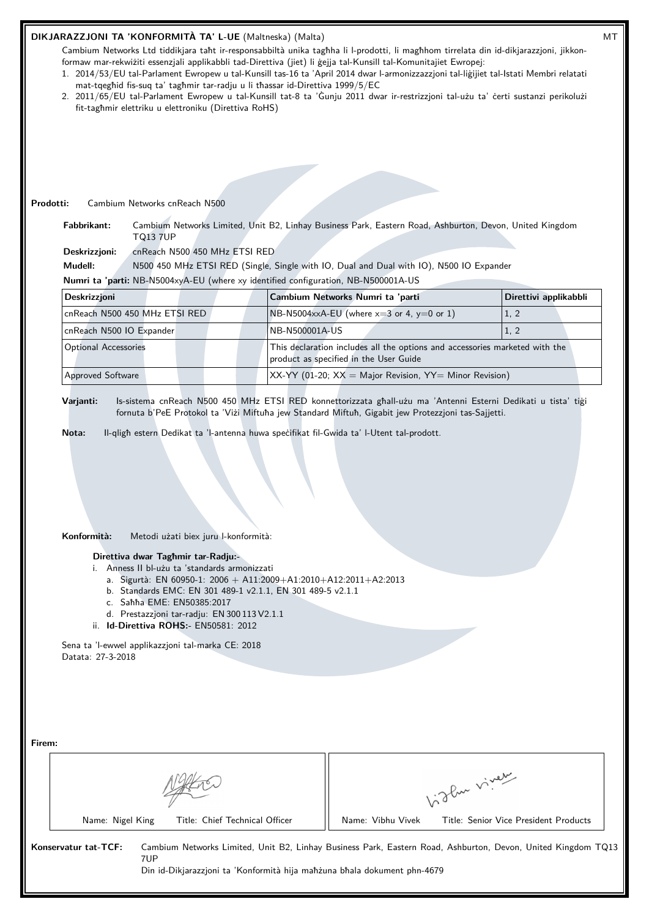## **DIKJARAZZJONI TA 'KONFORMITÀ TA' L-UE** (Maltneska) (Malta) MT

Cambium Networks Ltd tiddikjara taħt ir-responsabbiltà unika tagħha li l-prodotti, li magħhom tirrelata din id-dikjarazzjoni, jikkonformaw mar-rekwiżiti essenzjali applikabbli tad-Direttiva (jiet) li ġejja tal-Kunsill tal-Komunitajiet Ewropej:

- 1. 2014/53/EU tal-Parlament Ewropew u tal-Kunsill tas-16 ta 'April 2014 dwar l-armonizzazzjoni tal-liġijiet tal-Istati Membri relatati mat-tqegħid fis-suq ta' tagħmir tar-radju u li tħassar id-Direttiva 1999/5/EC
- 2. 2011/65/EU tal-Parlament Ewropew u tal-Kunsill tat-8 ta 'Ġunju 2011 dwar ir-restrizzjoni tal-użu ta' ċerti sustanzi perikolużi fit-tagħmir elettriku u elettroniku (Direttiva RoHS)

#### **Prodotti:** Cambium Networks cnReach N500

**Fabbrikant:** Cambium Networks Limited, Unit B2, Linhay Business Park, Eastern Road, Ashburton, Devon, United Kingdom TQ13 7UP

**Deskrizzjoni:** cnReach N500 450 MHz ETSI RED

**Mudell:** N500 450 MHz ETSI RED (Single, Single with IO, Dual and Dual with IO), N500 IO Expander

**Numri ta 'parti:** NB-N5004xyA-EU (where xy identified configuration, NB-N500001A-US

| Deskrizzjoni                  | Cambium Networks Numri ta 'parti                                                                                      | Direttivi applikabbli |
|-------------------------------|-----------------------------------------------------------------------------------------------------------------------|-----------------------|
| cnReach N500 450 MHz ETSI RED | NB-N5004xxA-EU (where $x=3$ or 4, $y=0$ or 1)                                                                         | 1, 2                  |
| cnReach N500 IO Expander      | NB-N500001A-US                                                                                                        | (1, 2)                |
| Optional Accessories          | This declaration includes all the options and accessories marketed with the<br>product as specified in the User Guide |                       |
| Approved Software             | $XX-YY$ (01-20; $XX =$ Major Revision, $YY =$ Minor Revision)                                                         |                       |

**Varjanti:** Is-sistema cnReach N500 450 MHz ETSI RED konnettorizzata għall-użu ma 'Antenni Esterni Dedikati u tista' tiġi fornuta b'PeE Protokol ta 'Viżi Miftuħa jew Standard Miftuħ, Gigabit jew Protezzjoni tas-Sajjetti.

**Nota:** Il-qligħ estern Dedikat ta 'l-antenna huwa speċifikat fil-Gwida ta' l-Utent tal-prodott.

| Konformità: |  | Metodi użati biex juru l-konformità: |
|-------------|--|--------------------------------------|
|             |  |                                      |

## **Direttiva dwar Tagħmir tar-Radju:-**

- i. Anness II bl-użu ta 'standards armonizzati
	- a. Sigurtà: EN 60950-1: 2006 + A11:2009+A1:2010+A12:2011+A2:2013
	- b. Standards EMC: EN 301 489-1 v2.1.1, EN 301 489-5 v2.1.1
	- c. Saħħa EME: EN50385:2017
	- d. Prestazzjoni tar-radju: EN 300 113 V2.1.1
- ii. **Id-Direttiva ROHS:-** EN50581: 2012

Sena ta 'l-ewwel applikazzjoni tal-marka CE: 2018 Datata: 27-3-2018

| Firem:                                                                                                  |                                                                                                              |
|---------------------------------------------------------------------------------------------------------|--------------------------------------------------------------------------------------------------------------|
|                                                                                                         | 1. Then viver                                                                                                |
| Title: Chief Technical Officer<br>Name: Nigel King                                                      | Name: Vibhu Vivek<br>Title: Senior Vice President Products                                                   |
| Konservatur tat-TCF:<br>7UP<br>Din id-Dikjarazzjoni ta 'Konformità hija mahzuna bhala dokument phn-4679 | Cambium Networks Limited, Unit B2, Linhay Business Park, Eastern Road, Ashburton, Devon, United Kingdom TQ13 |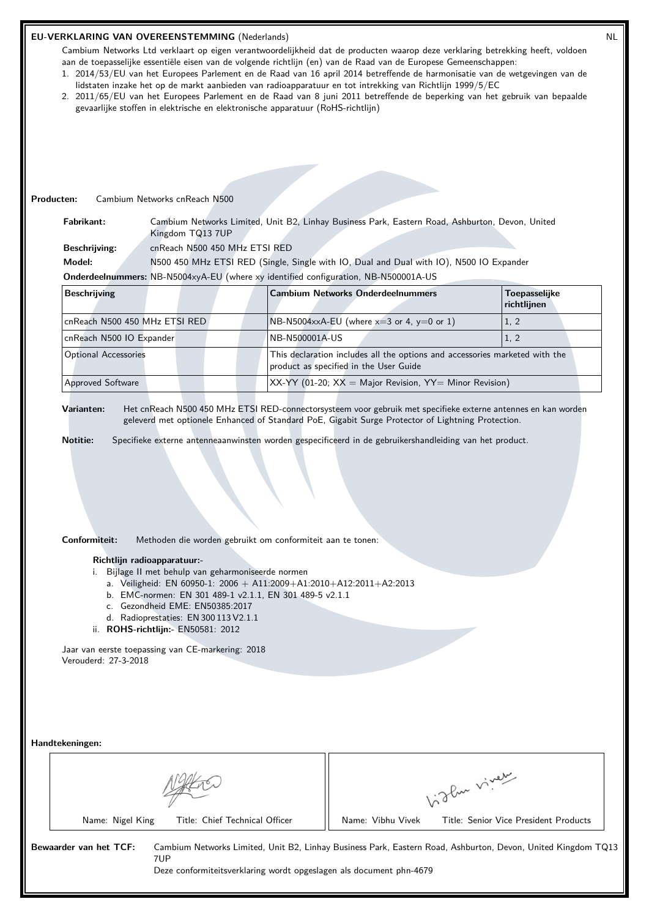|                 | EU-VERKLARING VAN OVEREENSTEMMING (Nederlands)<br>Cambium Networks Ltd verklaart op eigen verantwoordelijkheid dat de producten waarop deze verklaring betrekking heeft, voldoen<br>aan de toepasselijke essentiële eisen van de volgende richtlijn (en) van de Raad van de Europese Gemeenschappen:<br>1. 2014/53/EU van het Europees Parlement en de Raad van 16 april 2014 betreffende de harmonisatie van de wetgevingen van de<br>lidstaten inzake het op de markt aanbieden van radioapparatuur en tot intrekking van Richtlijn 1999/5/EC<br>2. 2011/65/EU van het Europees Parlement en de Raad van 8 juni 2011 betreffende de beperking van het gebruik van bepaalde<br>gevaarlijke stoffen in elektrische en elektronische apparatuur (RoHS-richtlijn) |                                                                                                                                                                                                      |                                |                                                            |                                                                                                                                                                                     |              | <b>NL</b>                             |  |
|-----------------|-----------------------------------------------------------------------------------------------------------------------------------------------------------------------------------------------------------------------------------------------------------------------------------------------------------------------------------------------------------------------------------------------------------------------------------------------------------------------------------------------------------------------------------------------------------------------------------------------------------------------------------------------------------------------------------------------------------------------------------------------------------------|------------------------------------------------------------------------------------------------------------------------------------------------------------------------------------------------------|--------------------------------|------------------------------------------------------------|-------------------------------------------------------------------------------------------------------------------------------------------------------------------------------------|--------------|---------------------------------------|--|
| Producten:      |                                                                                                                                                                                                                                                                                                                                                                                                                                                                                                                                                                                                                                                                                                                                                                 | Cambium Networks cnReach N500                                                                                                                                                                        |                                |                                                            |                                                                                                                                                                                     |              |                                       |  |
|                 | Fabrikant:                                                                                                                                                                                                                                                                                                                                                                                                                                                                                                                                                                                                                                                                                                                                                      | Kingdom TQ13 7UP                                                                                                                                                                                     |                                |                                                            | Cambium Networks Limited, Unit B2, Linhay Business Park, Eastern Road, Ashburton, Devon, United                                                                                     |              |                                       |  |
|                 | <b>Beschrijving:</b>                                                                                                                                                                                                                                                                                                                                                                                                                                                                                                                                                                                                                                                                                                                                            | cnReach N500 450 MHz ETSI RED                                                                                                                                                                        |                                |                                                            |                                                                                                                                                                                     |              |                                       |  |
|                 | Model:                                                                                                                                                                                                                                                                                                                                                                                                                                                                                                                                                                                                                                                                                                                                                          |                                                                                                                                                                                                      |                                |                                                            | N500 450 MHz ETSI RED (Single, Single with IO, Dual and Dual with IO), N500 IO Expander<br>Onderdeelnummers: NB-N5004xyA-EU (where xy identified configuration, NB-N500001A-US      |              |                                       |  |
|                 | <b>Beschrijving</b>                                                                                                                                                                                                                                                                                                                                                                                                                                                                                                                                                                                                                                                                                                                                             |                                                                                                                                                                                                      |                                |                                                            | <b>Cambium Networks Onderdeelnummers</b>                                                                                                                                            |              | <b>Toepasselijke</b><br>richtlijnen   |  |
|                 | cnReach N500 450 MHz ETSI RED                                                                                                                                                                                                                                                                                                                                                                                                                                                                                                                                                                                                                                                                                                                                   |                                                                                                                                                                                                      |                                |                                                            | NB-N5004xxA-EU (where $x=3$ or 4, $y=0$ or 1)                                                                                                                                       |              | 1, 2                                  |  |
|                 | cnReach N500 IO Expander                                                                                                                                                                                                                                                                                                                                                                                                                                                                                                                                                                                                                                                                                                                                        |                                                                                                                                                                                                      |                                | NB-N500001A-US                                             |                                                                                                                                                                                     |              | 1, 2                                  |  |
|                 | <b>Optional Accessories</b>                                                                                                                                                                                                                                                                                                                                                                                                                                                                                                                                                                                                                                                                                                                                     |                                                                                                                                                                                                      |                                |                                                            | This declaration includes all the options and accessories marketed with the<br>product as specified in the User Guide                                                               |              |                                       |  |
|                 | <b>Approved Software</b>                                                                                                                                                                                                                                                                                                                                                                                                                                                                                                                                                                                                                                                                                                                                        |                                                                                                                                                                                                      |                                |                                                            | $XX-YY$ (01-20; $XX =$ Major Revision, $YY =$ Minor Revision)                                                                                                                       |              |                                       |  |
|                 |                                                                                                                                                                                                                                                                                                                                                                                                                                                                                                                                                                                                                                                                                                                                                                 |                                                                                                                                                                                                      |                                |                                                            |                                                                                                                                                                                     |              |                                       |  |
|                 | Conformiteit:                                                                                                                                                                                                                                                                                                                                                                                                                                                                                                                                                                                                                                                                                                                                                   |                                                                                                                                                                                                      |                                | Methoden die worden gebruikt om conformiteit aan te tonen: |                                                                                                                                                                                     |              |                                       |  |
|                 | Jaar van eerste toepassing van CE-markering: 2018<br>Verouderd: 27-3-2018                                                                                                                                                                                                                                                                                                                                                                                                                                                                                                                                                                                                                                                                                       | Richtlijn radioapparatuur:-<br>i. Bijlage II met behulp van geharmoniseerde normen<br>c. Gezondheid EME: EN50385:2017<br>d. Radioprestaties: EN 300 113 V2.1.1<br>ii. ROHS-richtlijn:- EN50581: 2012 |                                | b. EMC-normen: EN 301 489-1 v2.1.1, EN 301 489-5 v2.1.1    | a. Veiligheid: EN 60950-1: 2006 + A11:2009+A1:2010+A12:2011+A2:2013                                                                                                                 |              |                                       |  |
| Handtekeningen: |                                                                                                                                                                                                                                                                                                                                                                                                                                                                                                                                                                                                                                                                                                                                                                 |                                                                                                                                                                                                      |                                |                                                            |                                                                                                                                                                                     | Vidley viver |                                       |  |
|                 | Name: Nigel King                                                                                                                                                                                                                                                                                                                                                                                                                                                                                                                                                                                                                                                                                                                                                |                                                                                                                                                                                                      | Title: Chief Technical Officer |                                                            | Name: Vibhu Vivek                                                                                                                                                                   |              | Title: Senior Vice President Products |  |
|                 | Bewaarder van het TCF:                                                                                                                                                                                                                                                                                                                                                                                                                                                                                                                                                                                                                                                                                                                                          | 7UP                                                                                                                                                                                                  |                                |                                                            | Cambium Networks Limited, Unit B2, Linhay Business Park, Eastern Road, Ashburton, Devon, United Kingdom TQ13<br>Deze conformiteitsverklaring wordt opgeslagen als document phn-4679 |              |                                       |  |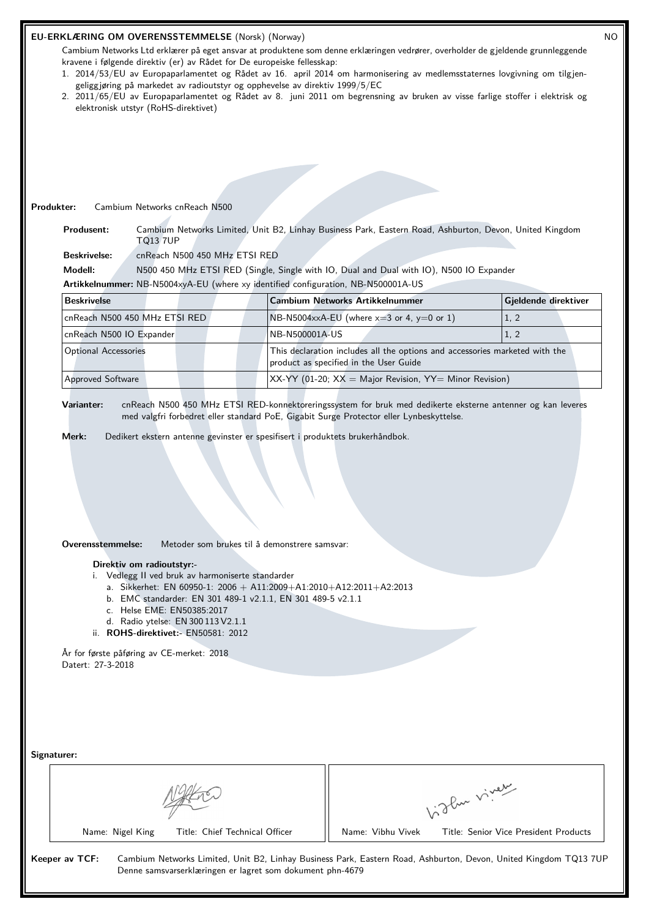| Produkter:                                                                         | elektronisk utstyr (RoHS-direktivet)<br>Cambium Networks cnReach N500                                   | kravene i følgende direktiv (er) av Rådet for De europeiske fellesskap:<br>geliggjøring på markedet av radioutstyr og opphevelse av direktiv 1999/5/EC                             | Cambium Networks Ltd erklærer på eget ansvar at produktene som denne erklæringen vedrører, overholder de gjeldende grunnleggende<br>1. 2014/53/EU av Europaparlamentet og Rådet av 16. april 2014 om harmonisering av medlemsstaternes lovgivning om tilgjen-<br>2. 2011/65/EU av Europaparlamentet og Rådet av 8. juni 2011 om begrensning av bruken av visse farlige stoffer i elektrisk og |              |                      |  |
|------------------------------------------------------------------------------------|---------------------------------------------------------------------------------------------------------|------------------------------------------------------------------------------------------------------------------------------------------------------------------------------------|-----------------------------------------------------------------------------------------------------------------------------------------------------------------------------------------------------------------------------------------------------------------------------------------------------------------------------------------------------------------------------------------------|--------------|----------------------|--|
| Produsent:                                                                         |                                                                                                         |                                                                                                                                                                                    | Cambium Networks Limited, Unit B2, Linhay Business Park, Eastern Road, Ashburton, Devon, United Kingdom                                                                                                                                                                                                                                                                                       |              |                      |  |
| <b>Beskrivelse:</b>                                                                | <b>TQ13 7UP</b><br>cnReach N500 450 MHz ETSI RED                                                        |                                                                                                                                                                                    |                                                                                                                                                                                                                                                                                                                                                                                               |              |                      |  |
| Modell:                                                                            |                                                                                                         |                                                                                                                                                                                    | N500 450 MHz ETSI RED (Single, Single with IO, Dual and Dual with IO), N500 IO Expander                                                                                                                                                                                                                                                                                                       |              |                      |  |
|                                                                                    |                                                                                                         |                                                                                                                                                                                    | Artikkelnummer: NB-N5004xyA-EU (where xy identified configuration, NB-N500001A-US                                                                                                                                                                                                                                                                                                             |              |                      |  |
| <b>Beskrivelse</b>                                                                 |                                                                                                         |                                                                                                                                                                                    | <b>Cambium Networks Artikkelnummer</b>                                                                                                                                                                                                                                                                                                                                                        |              | Gjeldende direktiver |  |
| cnReach N500 450 MHz ETSI RED                                                      |                                                                                                         |                                                                                                                                                                                    | NB-N5004xxA-EU (where $x=3$ or 4, $y=0$ or 1)                                                                                                                                                                                                                                                                                                                                                 |              | 1, 2                 |  |
| cnReach N500 IO Expander                                                           |                                                                                                         | NB-N500001A-US                                                                                                                                                                     |                                                                                                                                                                                                                                                                                                                                                                                               |              | 1, 2                 |  |
| <b>Optional Accessories</b>                                                        |                                                                                                         |                                                                                                                                                                                    | This declaration includes all the options and accessories marketed with the<br>product as specified in the User Guide                                                                                                                                                                                                                                                                         |              |                      |  |
| Approved Software<br>$XX-YY$ (01-20; $XX =$ Major Revision, $YY =$ Minor Revision) |                                                                                                         |                                                                                                                                                                                    |                                                                                                                                                                                                                                                                                                                                                                                               |              |                      |  |
| Varianter:<br>Merk:                                                                |                                                                                                         | Dedikert ekstern antenne gevinster er spesifisert i produktets brukerhåndbok.                                                                                                      | cnReach N500 450 MHz ETSI RED-konnektoreringssystem for bruk med dedikerte eksterne antenner og kan leveres<br>med valgfri forbedret eller standard PoE, Gigabit Surge Protector eller Lynbeskyttelse.                                                                                                                                                                                        |              |                      |  |
| Overensstemmelse:<br>Direktiv om radioutstyr:-                                     | i. Vedlegg II ved bruk av harmoniserte standarder                                                       | Metoder som brukes til å demonstrere samsvar:<br>a. Sikkerhet: EN 60950-1: 2006 + A11:2009+A1:2010+A12:2011+A2:2013<br>b. EMC standarder: EN 301 489-1 v2.1.1, EN 301 489-5 v2.1.1 |                                                                                                                                                                                                                                                                                                                                                                                               |              |                      |  |
|                                                                                    | c. Helse EME: EN50385:2017<br>d. Radio ytelse: EN 300 113 V2.1.1<br>ii. ROHS-direktivet:- EN50581: 2012 |                                                                                                                                                                                    |                                                                                                                                                                                                                                                                                                                                                                                               |              |                      |  |
| År for første påføring av CE-merket: 2018<br>Datert: 27-3-2018                     |                                                                                                         |                                                                                                                                                                                    |                                                                                                                                                                                                                                                                                                                                                                                               |              |                      |  |
| Signaturer:                                                                        |                                                                                                         |                                                                                                                                                                                    |                                                                                                                                                                                                                                                                                                                                                                                               |              |                      |  |
|                                                                                    |                                                                                                         |                                                                                                                                                                                    |                                                                                                                                                                                                                                                                                                                                                                                               | Vidley viney |                      |  |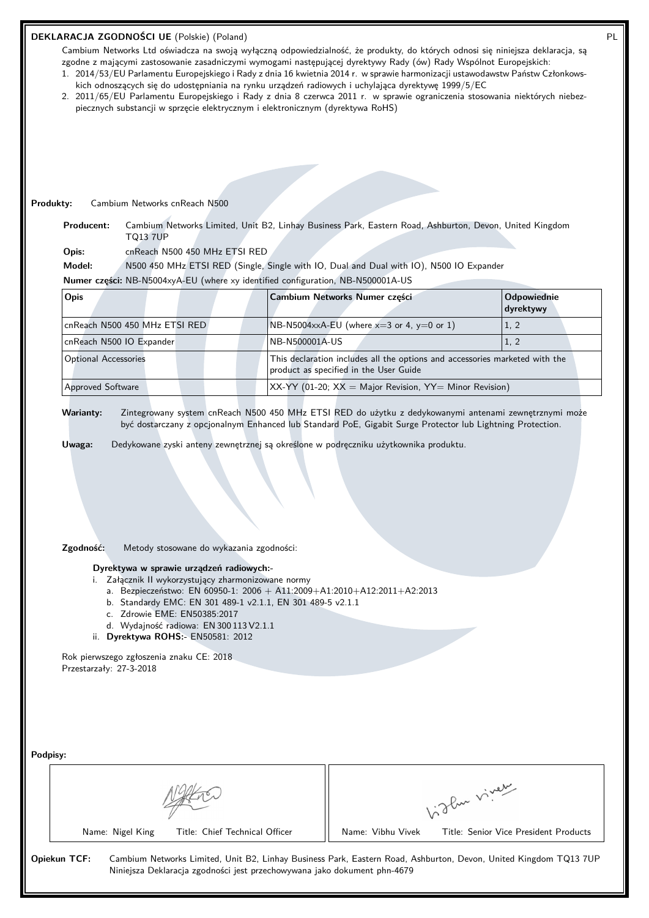## **DEKLARACJA ZGODNOŚCI UE** (Polskie) (Poland) PL

Cambium Networks Ltd oświadcza na swoją wyłączną odpowiedzialność, że produkty, do których odnosi się niniejsza deklaracja, są zgodne z mającymi zastosowanie zasadniczymi wymogami następującej dyrektywy Rady (ów) Rady Wspólnot Europejskich:

- 1. 2014/53/EU Parlamentu Europejskiego i Rady z dnia 16 kwietnia 2014 r. w sprawie harmonizacji ustawodawstw Państw Członkowskich odnoszących się do udostępniania na rynku urządzeń radiowych i uchylająca dyrektywę 1999/5/EC
- 2. 2011/65/EU Parlamentu Europejskiego i Rady z dnia 8 czerwca 2011 r. w sprawie ograniczenia stosowania niektórych niebezpiecznych substancji w sprzęcie elektrycznym i elektronicznym (dyrektywa RoHS)

#### **Produkty:** Cambium Networks cnReach N500

**Producent:** Cambium Networks Limited, Unit B2, Linhay Business Park, Eastern Road, Ashburton, Devon, United Kingdom TQ13 7UP

**Opis:** cnReach N500 450 MHz ETSI RED

**Model:** N500 450 MHz ETSI RED (Single, Single with IO, Dual and Dual with IO), N500 IO Expander

**Numer części:** NB-N5004xyA-EU (where xy identified configuration, NB-N500001A-US

| Opis                          | Cambium Networks Numer części                                                                                         | Odpowiednie<br>dyrektywy |
|-------------------------------|-----------------------------------------------------------------------------------------------------------------------|--------------------------|
| cnReach N500 450 MHz ETSI RED | $N\text{B-N5004} \times A$ -EU (where $x=3$ or 4, $y=0$ or 1)                                                         | 1, 2                     |
| cnReach N500 IO Expander      | NB-N500001A-US                                                                                                        | 1, 2                     |
| <b>Optional Accessories</b>   | This declaration includes all the options and accessories marketed with the<br>product as specified in the User Guide |                          |
| <b>Approved Software</b>      | $XX-YY$ (01-20; $XX =$ Major Revision, $YY =$ Minor Revision)                                                         |                          |

**Warianty:** Zintegrowany system cnReach N500 450 MHz ETSI RED do użytku z dedykowanymi antenami zewnętrznymi może być dostarczany z opcjonalnym Enhanced lub Standard PoE, Gigabit Surge Protector lub Lightning Protection.

**Uwaga:** Dedykowane zyski anteny zewnętrznej są określone w podręczniku użytkownika produktu.

# **Zgodność:** Metody stosowane do wykazania zgodności:

#### **Dyrektywa w sprawie urządzeń radiowych:-**

- i. Załącznik II wykorzystujący zharmonizowane normy
	- a. Bezpieczeństwo: EN 60950-1: 2006 + A11:2009+A1:2010+A12:2011+A2:2013
	- b. Standardy EMC: EN 301 489-1 v2.1.1, EN 301 489-5 v2.1.1
	- c. Zdrowie EME: EN50385:2017
	- d. Wydajność radiowa: EN 300 113 V2.1.1
- ii. **Dyrektywa ROHS:-** EN50581: 2012

Rok pierwszego zgłoszenia znaku CE: 2018 Przestarzały: 27-3-2018

| Podpisy:                                                                                 |                                                                                                                  |  |  |
|------------------------------------------------------------------------------------------|------------------------------------------------------------------------------------------------------------------|--|--|
|                                                                                          | of due viver                                                                                                     |  |  |
| Title: Chief Technical Officer<br>Name: Nigel King                                       | Title: Senior Vice President Products<br>Name: Vibhu Vivek                                                       |  |  |
| Opiekun TCF:<br>Niniejsza Deklaracja zgodności jest przechowywana jako dokument phn-4679 | Cambium Networks Limited, Unit B2, Linhay Business Park, Eastern Road, Ashburton, Devon, United Kingdom TQ13 7UP |  |  |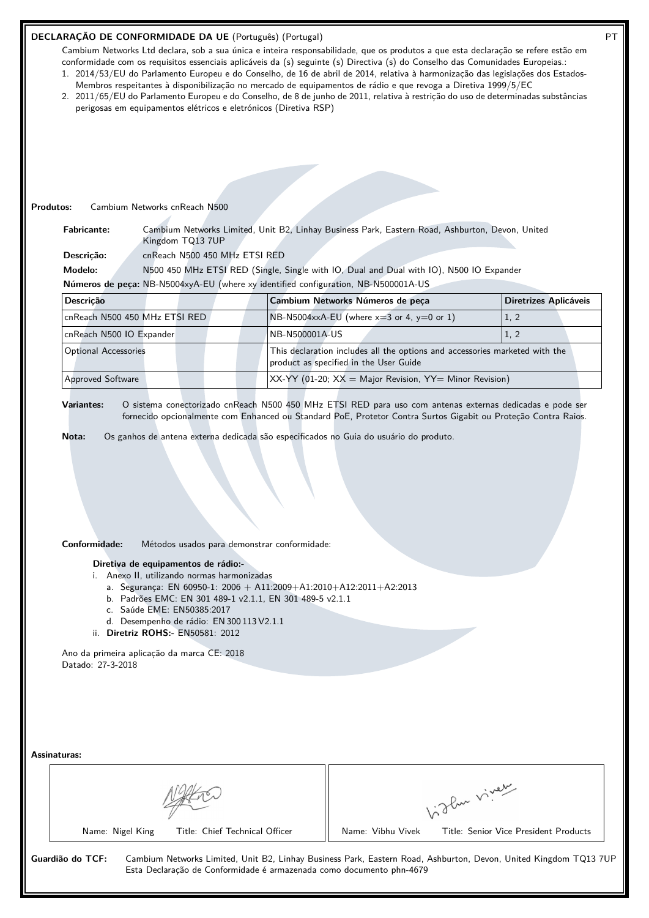## **DECLARAÇÃO DE CONFORMIDADE DA UE** (Português) (Portugal) PT

Cambium Networks Ltd declara, sob a sua única e inteira responsabilidade, que os produtos a que esta declaração se refere estão em conformidade com os requisitos essenciais aplicáveis da (s) seguinte (s) Directiva (s) do Conselho das Comunidades Europeias.: 1. 2014/53/EU do Parlamento Europeu e do Conselho, de 16 de abril de 2014, relativa à harmonização das legislações dos Estados-

- Membros respeitantes à disponibilização no mercado de equipamentos de rádio e que revoga a Diretiva 1999/5/EC
- 2. 2011/65/EU do Parlamento Europeu e do Conselho, de 8 de junho de 2011, relativa à restrição do uso de determinadas substâncias perigosas em equipamentos elétricos e eletrónicos (Diretiva RSP)

#### **Produtos:** Cambium Networks cnReach N500

**Fabricante:** Cambium Networks Limited, Unit B2, Linhay Business Park, Eastern Road, Ashburton, Devon, United Kingdom TQ13 7UP

**Descrição:** cnReach N500 450 MHz ETSI RED

**Modelo:** N500 450 MHz ETSI RED (Single, Single with IO, Dual and Dual with IO), N500 IO Expander

**Números de peça:** NB-N5004xyA-EU (where xy identified configuration, NB-N500001A-US

| Descricão                     | Cambium Networks Números de peça                                                                                      | Diretrizes Aplicáveis |
|-------------------------------|-----------------------------------------------------------------------------------------------------------------------|-----------------------|
| cnReach N500 450 MHz ETSI RED | $N B-N5004$ xxA-EU (where x=3 or 4, y=0 or 1)                                                                         | 1, 2                  |
| cnReach N500 IO Expander      | NB-N500001A-US                                                                                                        |                       |
| <b>Optional Accessories</b>   | This declaration includes all the options and accessories marketed with the<br>product as specified in the User Guide |                       |
| <b>Approved Software</b>      | $XX-YY$ (01-20; $XX =$ Major Revision, $YY =$ Minor Revision)                                                         |                       |

**Variantes:** O sistema conectorizado cnReach N500 450 MHz ETSI RED para uso com antenas externas dedicadas e pode ser fornecido opcionalmente com Enhanced ou Standard PoE, Protetor Contra Surtos Gigabit ou Proteção Contra Raios.

**Nota:** Os ganhos de antena externa dedicada são especificados no Guia do usuário do produto.

**Conformidade:** Métodos usados para demonstrar conformidade:

**Diretiva de equipamentos de rádio:-**

i. Anexo II, utilizando normas harmonizadas

- a. Segurança: EN 60950-1: 2006 + A11:2009+A1:2010+A12:2011+A2:2013
- b. Padrões EMC: EN 301 489-1 v2.1.1, EN 301 489-5 v2.1.1
- c. Saúde EME: EN50385:2017
- d. Desempenho de rádio: EN 300 113 V2.1.1
- ii. **Diretriz ROHS:-** EN50581: 2012

Ano da primeira aplicação da marca CE: 2018 Datado: 27-3-2018

| <b>Assinaturas:</b> |
|---------------------|
|---------------------|

|                                | about viver                           |
|--------------------------------|---------------------------------------|
| Title: Chief Technical Officer | Title: Senior Vice President Products |
| Name: Nigel King               | Name: Vibhu Vivek                     |

Esta Declaração de Conformidade é armazenada como documento phn-4679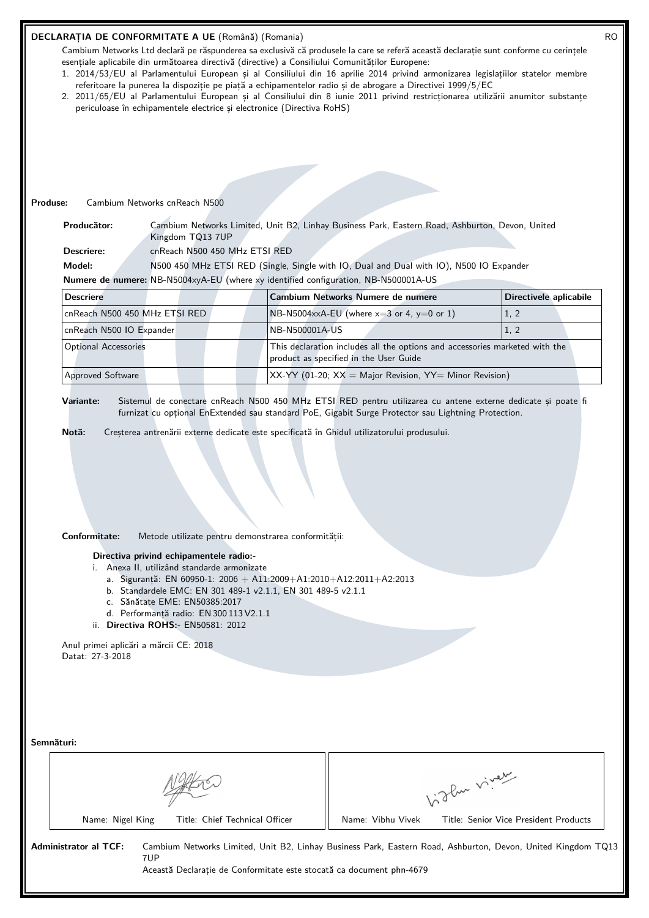#### **DECLARAȚIA DE CONFORMITATE A UE** (Română) (Romania) RO

Cambium Networks Ltd declară pe răspunderea sa exclusivă că produsele la care se referă această declarație sunt conforme cu cerințele esențiale aplicabile din următoarea directivă (directive) a Consiliului Comunităților Europene:

- 1. 2014/53/EU al Parlamentului European și al Consiliului din 16 aprilie 2014 privind armonizarea legislațiilor statelor membre referitoare la punerea la dispoziție pe piață a echipamentelor radio și de abrogare a Directivei 1999/5/EC
- 2. 2011/65/EU al Parlamentului European și al Consiliului din 8 iunie 2011 privind restricționarea utilizării anumitor substanțe periculoase în echipamentele electrice și electronice (Directiva RoHS)

#### **Produse:** Cambium Networks cnReach N500

**Producător:** Cambium Networks Limited, Unit B2, Linhay Business Park, Eastern Road, Ashburton, Devon, United Kingdom TQ13 7UP

**Descriere:** cnReach N500 450 MHz ETSI RED

**Model:** N500 450 MHz ETSI RED (Single, Single with IO, Dual and Dual with IO), N500 IO Expander

**Numere de numere:** NB-N5004xyA-EU (where xy identified configuration, NB-N500001A-US

| <b>Descriere</b>              | Cambium Networks Numere de numere                                                                                     | Directivele aplicabile |
|-------------------------------|-----------------------------------------------------------------------------------------------------------------------|------------------------|
| cnReach N500 450 MHz ETSI RED | $N_{\text{B-N5004xx}}$ A-EU (where $x=3$ or 4, y=0 or 1)                                                              | 1, 2                   |
| cnReach N500 IO Expander      | NB-N500001A-US                                                                                                        | 1, 2                   |
| <b>Optional Accessories</b>   | This declaration includes all the options and accessories marketed with the<br>product as specified in the User Guide |                        |
| <b>Approved Software</b>      | $XX-YY$ (01-20; $XX =$ Major Revision, $YY =$ Minor Revision)                                                         |                        |

**Variante:** Sistemul de conectare cnReach N500 450 MHz ETSI RED pentru utilizarea cu antene externe dedicate și poate fi furnizat cu opțional EnExtended sau standard PoE, Gigabit Surge Protector sau Lightning Protection.

**Notă:** Creșterea antrenării externe dedicate este specificată în Ghidul utilizatorului produsului.

#### **Conformitate:** Metode utilizate pentru demonstrarea conformității:

#### **Directiva privind echipamentele radio:-**

- i. Anexa II, utilizând standarde armonizate
	- a. Siguranță: EN 60950-1: 2006 + A11:2009+A1:2010+A12:2011+A2:2013
	- b. Standardele EMC: EN 301 489-1 v2.1.1, EN 301 489-5 v2.1.1
	- c. Sănătate EME: EN50385:2017
	- d. Performanță radio: EN 300 113 V2.1.1
- ii. **Directiva ROHS:-** EN50581: 2012

Anul primei aplicări a mărcii CE: 2018 Datat: 27-3-2018

| Semnături:                   |     |                                                                      |                   |                                                                                                              |
|------------------------------|-----|----------------------------------------------------------------------|-------------------|--------------------------------------------------------------------------------------------------------------|
|                              |     |                                                                      |                   | of due viver                                                                                                 |
| Name: Nigel King             |     | Title: Chief Technical Officer                                       | Name: Vibhu Vivek | Title: Senior Vice President Products                                                                        |
| <b>Administrator al TCF:</b> | 7UP | Această Declaratie de Conformitate este stocată ca document phn-4679 |                   | Cambium Networks Limited, Unit B2, Linhay Business Park, Eastern Road, Ashburton, Devon, United Kingdom TQ13 |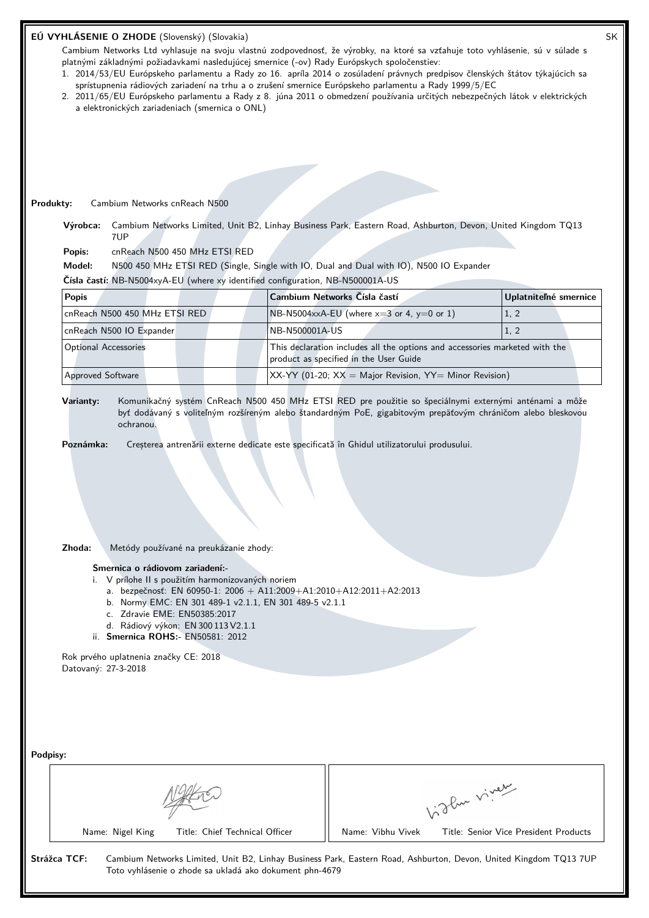| EÚ VYHLÁSENIE O ZHODE (Slovenský) (Slovakia)<br>Cambium Networks Ltd vyhlasuje na svoju vlastnú zodpovednosť, že výrobky, na ktoré sa vzťahuje toto vyhlásenie, sú v súlade s<br>platnými základnými požiadavkami nasledujúcej smernice (-ov) Rady Európskych spoločenstiev:<br>1. 2014/53/EU Európskeho parlamentu a Rady zo 16. apríla 2014 o zosúladení právnych predpisov členských štátov týkajúcich sa |                                        |                                                                                                        |                                                                                                                                                                                                             |                                                      |      |                       |
|--------------------------------------------------------------------------------------------------------------------------------------------------------------------------------------------------------------------------------------------------------------------------------------------------------------------------------------------------------------------------------------------------------------|----------------------------------------|--------------------------------------------------------------------------------------------------------|-------------------------------------------------------------------------------------------------------------------------------------------------------------------------------------------------------------|------------------------------------------------------|------|-----------------------|
| 2. 2011/65/EU Európskeho parlamentu a Rady z 8. júna 2011 o obmedzení používania určitých nebezpečných látok v elektrických<br>a elektronických zariadeniach (smernica o ONL)                                                                                                                                                                                                                                |                                        |                                                                                                        | sprístupnenia rádiových zariadení na trhu a o zrušení smernice Európskeho parlamentu a Rady 1999/5/EC                                                                                                       |                                                      |      |                       |
|                                                                                                                                                                                                                                                                                                                                                                                                              |                                        |                                                                                                        |                                                                                                                                                                                                             |                                                      |      |                       |
|                                                                                                                                                                                                                                                                                                                                                                                                              |                                        |                                                                                                        |                                                                                                                                                                                                             |                                                      |      |                       |
|                                                                                                                                                                                                                                                                                                                                                                                                              |                                        |                                                                                                        |                                                                                                                                                                                                             |                                                      |      |                       |
|                                                                                                                                                                                                                                                                                                                                                                                                              |                                        |                                                                                                        |                                                                                                                                                                                                             |                                                      |      |                       |
| Produkty:<br>Cambium Networks cnReach N500                                                                                                                                                                                                                                                                                                                                                                   |                                        |                                                                                                        |                                                                                                                                                                                                             |                                                      |      |                       |
| Výrobca:<br>7UP                                                                                                                                                                                                                                                                                                                                                                                              |                                        |                                                                                                        | Cambium Networks Limited, Unit B2, Linhay Business Park, Eastern Road, Ashburton, Devon, United Kingdom TQ13                                                                                                |                                                      |      |                       |
| Popis:                                                                                                                                                                                                                                                                                                                                                                                                       | cnReach N500 450 MHz ETSI RED          |                                                                                                        |                                                                                                                                                                                                             |                                                      |      |                       |
| Model:                                                                                                                                                                                                                                                                                                                                                                                                       |                                        |                                                                                                        | N500 450 MHz ETSI RED (Single, Single with IO, Dual and Dual with IO), N500 IO Expander                                                                                                                     |                                                      |      |                       |
| Čísla častí: NB-N5004xyA-EU (where xy identified configuration, NB-N500001A-US                                                                                                                                                                                                                                                                                                                               |                                        |                                                                                                        |                                                                                                                                                                                                             |                                                      |      |                       |
| <b>Popis</b>                                                                                                                                                                                                                                                                                                                                                                                                 |                                        | Cambium Networks Čísla častí                                                                           |                                                                                                                                                                                                             |                                                      |      | Uplatniteľné smernice |
| cnReach N500 450 MHz ETSI RED                                                                                                                                                                                                                                                                                                                                                                                |                                        |                                                                                                        | NB-N5004xxA-EU (where $x=3$ or 4, $y=0$ or 1)                                                                                                                                                               |                                                      | 1, 2 |                       |
| cnReach N500 IO Expander                                                                                                                                                                                                                                                                                                                                                                                     |                                        | NB-N500001A-US                                                                                         |                                                                                                                                                                                                             |                                                      | 1, 2 |                       |
| <b>Optional Accessories</b>                                                                                                                                                                                                                                                                                                                                                                                  |                                        |                                                                                                        | This declaration includes all the options and accessories marketed with the<br>product as specified in the User Guide                                                                                       |                                                      |      |                       |
| <b>Approved Software</b>                                                                                                                                                                                                                                                                                                                                                                                     |                                        |                                                                                                        | $XX-YY$ (01-20; $XX =$ Major Revision, $YY =$ Minor Revision)                                                                                                                                               |                                                      |      |                       |
| ochranou.<br>Poznámka:                                                                                                                                                                                                                                                                                                                                                                                       |                                        | Komunikačný systém CnReach N500 450 MHz ETSI RED pre použitie so špeciálnymi externými anténami a môže | byť dodávaný s voliteľným rozšíreným alebo štandardným PoE, gigabitovým prepäťovým chráničom alebo bleskovou<br>Creșterea antrenării externe dedicate este specificată în Ghidul utilizatorului produsului. |                                                      |      |                       |
| Zhoda:                                                                                                                                                                                                                                                                                                                                                                                                       | Metódy používané na preukázanie zhody: |                                                                                                        |                                                                                                                                                                                                             |                                                      |      |                       |
| Smernica o rádiovom zariadení:-<br>i. V prílohe II s použitím harmonizovaných noriem<br>c. Zdravie EME: EN50385:2017<br>d. Rádiový výkon: EN 300 113 V2.1.1<br>ii. Smernica ROHS:- EN50581: 2012                                                                                                                                                                                                             |                                        | b. Normy EMC: EN 301 489-1 v2.1.1, EN 301 489-5 v2.1.1                                                 | a. bezpečnosť: EN 60950-1: 2006 + A11:2009+A1:2010+A12:2011+A2:2013                                                                                                                                         |                                                      |      |                       |
| Rok prvého uplatnenia značky CE: 2018<br>Datovaný: 27-3-2018                                                                                                                                                                                                                                                                                                                                                 |                                        |                                                                                                        |                                                                                                                                                                                                             |                                                      |      |                       |
|                                                                                                                                                                                                                                                                                                                                                                                                              |                                        |                                                                                                        |                                                                                                                                                                                                             |                                                      |      |                       |
|                                                                                                                                                                                                                                                                                                                                                                                                              |                                        |                                                                                                        |                                                                                                                                                                                                             |                                                      |      |                       |
| Podpisy:                                                                                                                                                                                                                                                                                                                                                                                                     |                                        |                                                                                                        |                                                                                                                                                                                                             |                                                      |      |                       |
|                                                                                                                                                                                                                                                                                                                                                                                                              |                                        |                                                                                                        |                                                                                                                                                                                                             |                                                      |      |                       |
| Name: Nigel King                                                                                                                                                                                                                                                                                                                                                                                             | Title: Chief Technical Officer         |                                                                                                        | Name: Vibhu Vivek                                                                                                                                                                                           | Light vivey<br>Title: Senior Vice President Products |      |                       |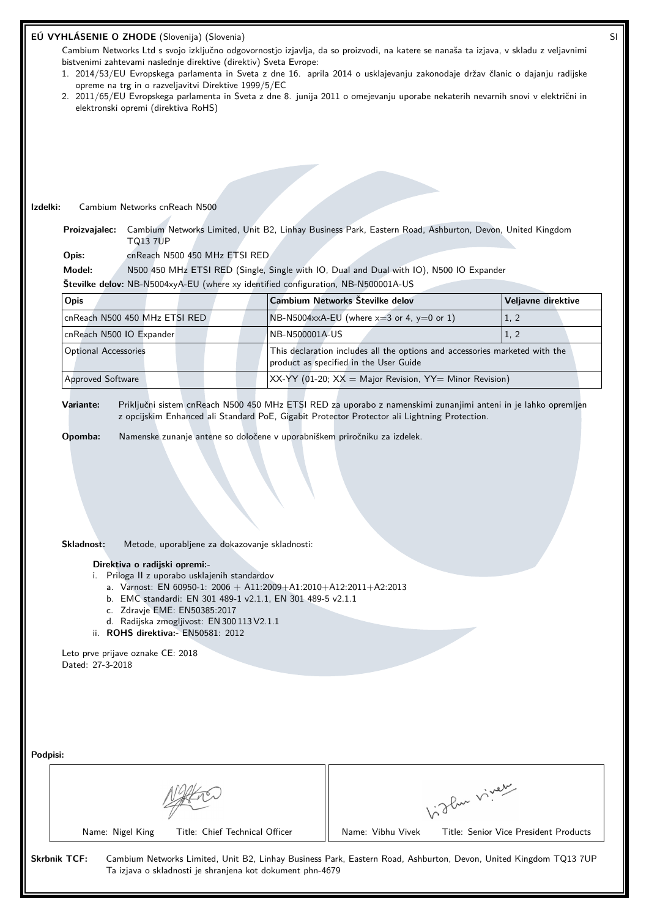|                                       | opreme na trg in o razveljavitvi Direktive 1999/5/EC<br>elektronski opremi (direktiva RoHS)                                                                                                                                                                                                                                                                                                                                                                                                                                                            | EÚ VYHLÁSENIE O ZHODE (Slovenija) (Slovenia)<br>bistvenimi zahtevami naslednje direktive (direktiv) Sveta Evrope: | Cambium Networks Ltd s svojo izključno odgovornostjo izjavlja, da so proizvodi, na katere se nanaša ta izjava, v skladu z veljavnimi<br>1. 2014/53/EU Evropskega parlamenta in Sveta z dne 16. aprila 2014 o usklajevanju zakonodaje držav članic o dajanju radijske<br>2. 2011/65/EU Evropskega parlamenta in Sveta z dne 8. junija 2011 o omejevanju uporabe nekaterih nevarnih snovi v električni in |  |                            |  |  |
|---------------------------------------|--------------------------------------------------------------------------------------------------------------------------------------------------------------------------------------------------------------------------------------------------------------------------------------------------------------------------------------------------------------------------------------------------------------------------------------------------------------------------------------------------------------------------------------------------------|-------------------------------------------------------------------------------------------------------------------|---------------------------------------------------------------------------------------------------------------------------------------------------------------------------------------------------------------------------------------------------------------------------------------------------------------------------------------------------------------------------------------------------------|--|----------------------------|--|--|
|                                       |                                                                                                                                                                                                                                                                                                                                                                                                                                                                                                                                                        |                                                                                                                   |                                                                                                                                                                                                                                                                                                                                                                                                         |  |                            |  |  |
|                                       |                                                                                                                                                                                                                                                                                                                                                                                                                                                                                                                                                        |                                                                                                                   |                                                                                                                                                                                                                                                                                                                                                                                                         |  |                            |  |  |
|                                       |                                                                                                                                                                                                                                                                                                                                                                                                                                                                                                                                                        |                                                                                                                   |                                                                                                                                                                                                                                                                                                                                                                                                         |  |                            |  |  |
| Izdelki:                              | Cambium Networks cnReach N500                                                                                                                                                                                                                                                                                                                                                                                                                                                                                                                          |                                                                                                                   |                                                                                                                                                                                                                                                                                                                                                                                                         |  |                            |  |  |
| Proizvajalec:                         | <b>TQ13 7UP</b>                                                                                                                                                                                                                                                                                                                                                                                                                                                                                                                                        |                                                                                                                   | Cambium Networks Limited, Unit B2, Linhay Business Park, Eastern Road, Ashburton, Devon, United Kingdom                                                                                                                                                                                                                                                                                                 |  |                            |  |  |
| Opis:                                 | cnReach N500 450 MHz ETSI RED                                                                                                                                                                                                                                                                                                                                                                                                                                                                                                                          |                                                                                                                   |                                                                                                                                                                                                                                                                                                                                                                                                         |  |                            |  |  |
| Model:                                |                                                                                                                                                                                                                                                                                                                                                                                                                                                                                                                                                        |                                                                                                                   | N500 450 MHz ETSI RED (Single, Single with IO, Dual and Dual with IO), N500 IO Expander                                                                                                                                                                                                                                                                                                                 |  |                            |  |  |
|                                       |                                                                                                                                                                                                                                                                                                                                                                                                                                                                                                                                                        | Številke delov: NB-N5004xyA-EU (where xy identified configuration, NB-N500001A-US                                 | Cambium Networks Številke delov                                                                                                                                                                                                                                                                                                                                                                         |  |                            |  |  |
| Opis<br>cnReach N500 450 MHz ETSI RED |                                                                                                                                                                                                                                                                                                                                                                                                                                                                                                                                                        |                                                                                                                   | NB-N5004xxA-EU (where $x=3$ or 4, $y=0$ or 1)                                                                                                                                                                                                                                                                                                                                                           |  | Veljavne direktive<br>1, 2 |  |  |
| cnReach N500 IO Expander              |                                                                                                                                                                                                                                                                                                                                                                                                                                                                                                                                                        | NB-N500001A-US                                                                                                    |                                                                                                                                                                                                                                                                                                                                                                                                         |  | 1, 2                       |  |  |
| <b>Optional Accessories</b>           |                                                                                                                                                                                                                                                                                                                                                                                                                                                                                                                                                        |                                                                                                                   | This declaration includes all the options and accessories marketed with the<br>product as specified in the User Guide                                                                                                                                                                                                                                                                                   |  |                            |  |  |
| Approved Software                     |                                                                                                                                                                                                                                                                                                                                                                                                                                                                                                                                                        |                                                                                                                   | $XX-YY$ (01-20; $XX =$ Major Revision, $YY =$ Minor Revision)                                                                                                                                                                                                                                                                                                                                           |  |                            |  |  |
|                                       | Namenske zunanje antene so določene v uporabniškem priročniku za izdelek.<br>Opomba:<br>Skladnost:<br>Metode, uporabljene za dokazovanje skladnosti:<br>Direktiva o radijski opremi:-<br>i. Priloga II z uporabo usklajenih standardov<br>a. Varnost: EN 60950-1: 2006 + A11:2009+A1:2010+A12:2011+A2:2013<br>b. EMC standardi: EN 301 489-1 v2.1.1, EN 301 489-5 v2.1.1<br>c. Zdravje EME: EN50385:2017<br>d. Radijska zmogljivost: EN 300 113 V2.1.1<br>ii. ROHS direktiva: - EN50581: 2012<br>Leto prve prijave oznake CE: 2018<br>Dated: 27-3-2018 |                                                                                                                   |                                                                                                                                                                                                                                                                                                                                                                                                         |  |                            |  |  |
|                                       |                                                                                                                                                                                                                                                                                                                                                                                                                                                                                                                                                        |                                                                                                                   |                                                                                                                                                                                                                                                                                                                                                                                                         |  |                            |  |  |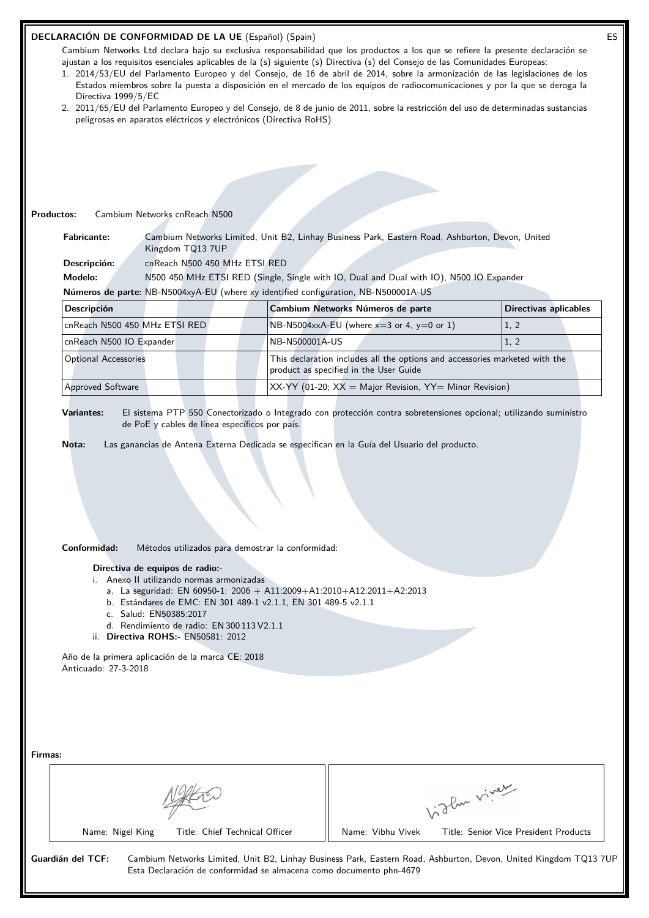|         | Directiva 1999/5/EC                                                                                                                                                                                                                                                                                         | DECLARACIÓN DE CONFORMIDAD DE LA UE (Español) (Spain)<br>peligrosas en aparatos eléctricos y electrónicos (Directiva RoHS)                                                                                                                                                                                                                                                                                                                      |                | ajustan a los requisitos esenciales aplicables de la (s) siguiente (s) Directiva (s) del Consejo de las Comunidades Europeas: | Cambium Networks Ltd declara bajo su exclusiva responsabilidad que los productos a los que se refiere la presente declaración se<br>1. 2014/53/EU del Parlamento Europeo y del Consejo, de 16 de abril de 2014, sobre la armonización de las legislaciones de los<br>Estados miembros sobre la puesta a disposición en el mercado de los equipos de radiocomunicaciones y por la que se deroga la<br>2. 2011/65/EU del Parlamento Europeo y del Consejo, de 8 de junio de 2011, sobre la restricción del uso de determinadas sustancias | ES |
|---------|-------------------------------------------------------------------------------------------------------------------------------------------------------------------------------------------------------------------------------------------------------------------------------------------------------------|-------------------------------------------------------------------------------------------------------------------------------------------------------------------------------------------------------------------------------------------------------------------------------------------------------------------------------------------------------------------------------------------------------------------------------------------------|----------------|-------------------------------------------------------------------------------------------------------------------------------|-----------------------------------------------------------------------------------------------------------------------------------------------------------------------------------------------------------------------------------------------------------------------------------------------------------------------------------------------------------------------------------------------------------------------------------------------------------------------------------------------------------------------------------------|----|
|         |                                                                                                                                                                                                                                                                                                             |                                                                                                                                                                                                                                                                                                                                                                                                                                                 |                |                                                                                                                               |                                                                                                                                                                                                                                                                                                                                                                                                                                                                                                                                         |    |
|         | <b>Productos:</b><br>Cambium Networks cnReach N500<br>Cambium Networks Limited, Unit B2, Linhay Business Park, Eastern Road, Ashburton, Devon, United<br><b>Fabricante:</b>                                                                                                                                 |                                                                                                                                                                                                                                                                                                                                                                                                                                                 |                |                                                                                                                               |                                                                                                                                                                                                                                                                                                                                                                                                                                                                                                                                         |    |
|         | Descripción:                                                                                                                                                                                                                                                                                                | Kingdom TQ13 7UP<br>cnReach N500 450 MHz ETSI RED                                                                                                                                                                                                                                                                                                                                                                                               |                |                                                                                                                               |                                                                                                                                                                                                                                                                                                                                                                                                                                                                                                                                         |    |
|         | Modelo:                                                                                                                                                                                                                                                                                                     |                                                                                                                                                                                                                                                                                                                                                                                                                                                 |                | N500 450 MHz ETSI RED (Single, Single with IO, Dual and Dual with IO), N500 IO Expander                                       |                                                                                                                                                                                                                                                                                                                                                                                                                                                                                                                                         |    |
|         |                                                                                                                                                                                                                                                                                                             | Números de parte: NB-N5004xyA-EU (where xy identified configuration, NB-N500001A-US                                                                                                                                                                                                                                                                                                                                                             |                |                                                                                                                               |                                                                                                                                                                                                                                                                                                                                                                                                                                                                                                                                         |    |
|         | <b>Descripción</b>                                                                                                                                                                                                                                                                                          |                                                                                                                                                                                                                                                                                                                                                                                                                                                 |                | Cambium Networks Números de parte                                                                                             | <b>Directivas aplicables</b>                                                                                                                                                                                                                                                                                                                                                                                                                                                                                                            |    |
|         |                                                                                                                                                                                                                                                                                                             |                                                                                                                                                                                                                                                                                                                                                                                                                                                 |                |                                                                                                                               |                                                                                                                                                                                                                                                                                                                                                                                                                                                                                                                                         |    |
|         | cnReach N500 450 MHz ETSI RED                                                                                                                                                                                                                                                                               |                                                                                                                                                                                                                                                                                                                                                                                                                                                 |                | NB-N5004xxA-EU (where $x=3$ or 4, $y=0$ or 1)                                                                                 | 1, 2                                                                                                                                                                                                                                                                                                                                                                                                                                                                                                                                    |    |
|         | cnReach N500 IO Expander                                                                                                                                                                                                                                                                                    |                                                                                                                                                                                                                                                                                                                                                                                                                                                 | NB-N500001A-US |                                                                                                                               | 1, 2                                                                                                                                                                                                                                                                                                                                                                                                                                                                                                                                    |    |
|         | <b>Optional Accessories</b>                                                                                                                                                                                                                                                                                 |                                                                                                                                                                                                                                                                                                                                                                                                                                                 |                | This declaration includes all the options and accessories marketed with the<br>product as specified in the User Guide         |                                                                                                                                                                                                                                                                                                                                                                                                                                                                                                                                         |    |
|         | Approved Software                                                                                                                                                                                                                                                                                           |                                                                                                                                                                                                                                                                                                                                                                                                                                                 |                | $XX-YY$ (01-20; $XX =$ Major Revision, $YY =$ Minor Revision)                                                                 |                                                                                                                                                                                                                                                                                                                                                                                                                                                                                                                                         |    |
|         | Nota:<br>Conformidad:<br>Anticuado: 27-3-2018                                                                                                                                                                                                                                                               | Métodos utilizados para demostrar la conformidad:<br>Directiva de equipos de radio:-<br>i. Anexo II utilizando normas armonizadas<br>a. La seguridad: EN 60950-1: 2006 + A11:2009+A1:2010+A12:2011+A2:2013<br>b. Estándares de EMC: EN 301 489-1 v2.1.1, EN 301 489-5 v2.1.1<br>c. Salud: EN50385:2017<br>d. Rendimiento de radio: EN 300 113 V2.1.1<br>ii. Directiva ROHS:- EN50581: 2012<br>Año de la primera aplicación de la marca CE: 2018 |                | Las ganancias de Antena Externa Dedicada se especifican en la Guía del Usuario del producto.                                  |                                                                                                                                                                                                                                                                                                                                                                                                                                                                                                                                         |    |
| Firmas: |                                                                                                                                                                                                                                                                                                             |                                                                                                                                                                                                                                                                                                                                                                                                                                                 |                | Name: Vibhu Vivek                                                                                                             | Vidley vivey                                                                                                                                                                                                                                                                                                                                                                                                                                                                                                                            |    |
|         | Name: Nigel King<br>Title: Chief Technical Officer<br>Title: Senior Vice President Products<br>Guardián del TCF:<br>Cambium Networks Limited, Unit B2, Linhay Business Park, Eastern Road, Ashburton, Devon, United Kingdom TQ13 7UP<br>Esta Declaración de conformidad se almacena como documento phn-4679 |                                                                                                                                                                                                                                                                                                                                                                                                                                                 |                |                                                                                                                               |                                                                                                                                                                                                                                                                                                                                                                                                                                                                                                                                         |    |